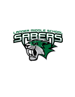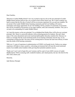# STUDENT HANDBOOK 2021 - 2022

## Dear Families,

Welcome to Lander Middle School! I am very excited to start my role as the new principal of Lander Middle School and the staff are also very excited to kick off the school year. We've been working very hard to ensure that the first day of school will be an awesome experience for you and your students. We are proud of the Lander Middle School learning community and feel our building will create a tremendous and unique opportunity for all. Our building will be a product of community involvement that will be rewarded by the presence of our eager students, staff, and community members. This year is on track to be outstanding for Lander Middle School.

As I start this journey as the new principal, I'm so delighted that Deidre Myer will be the new assistant principal. Mrs. Meyer is a powerful educator with an amazing passion for students. She and I share many of the same educational and social emotional philosophies that place students first. Because we believe so strongly that the social emotional needs of our learning community must be met, we are committing to doing just that. Our team will be working hard to increase the team time efficacy to better meet the needs of the learning community.

With over 11 years of experience in administration in FCSD#1 at all grade levels, I believe my unique experience will help to create a positive, welcoming environment that will meet the social emotional needs of our middle school students while growing their potential academic success.

Thank you! I can't wait to begin this year's journey and be a part of your child's success at Lander Middle School. With an amazing staff, wonderful students, and valued parents, the sky's the limit for the 2021-2022 school year.

Sincerely,

Jade Morton, Principal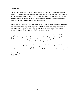Dear Families,

It is with great excitement that I write this letter of introduction to you as your new assistant principal. I am deeply honored to work in the Lander School District as both the Lander Middle School Assistant Principal and the District Curriculum Director. I am committed to working in partnership with Mr. Morton, the students, the parents, and the staff to nurture the academic, social, and emotional development of each of our students.

My experience in education began in Montana in 1993. My most recent educational experience was as an elementary and junior high principal at Fort Washakie. Prior to my administrative career, I taught 9-12 grade English Language Arts at Lander Valley High School and then became an instructional facilitator in Lander's secondary schools.

On a personal note, my husband and I are the proud parents of two Lander Valley High School graduates. Keagan graduated in 2015 and is now a mechanical engineer; Braeden graduated in 2016 and is a wildlife biologist. Rest assured your children are in good hands as I will always keep their best interests in mind – just as I would for my own two children.

I am passionate, energetic, and love what I do! As we continue to encourage families to be partners in the educational process, my door will always be open. I look forward to collaborating with the wonderful students and families of Lander Middle School as we start the school year.

In partnership, Deidre Meyer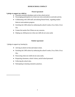# **HOME/SCHOOL COMPACT**

# **Parent Agreement**

# **I pledge to support my child by:**

- Ensuring consistent attendance and on time school arrival.
- Encouraging participation in at least one extra-curricular/co-curricular activity.
- Collaborating with LMS staff, and utilizing Parent Portal, regarding student behavior and academic progress.
- Enriching the LMS culture by embracing the school's motto, *Every Saber, Every Day*
- Contact the teacher first if there are any concerns.
- Helping my child persevere when new skills do not come easily

### **Student Agreement**

I pledge to support my learning by:

- Arriving at school on time and ready to learn.
- Enriching the LMS culture by embracing the school's motto, *Every Saber, Every Day*.
- Persevering when new skills do not come easily.
- Respecting classmates, school visitors, and all school personnel.
- Following the school rules.
- Participating in learning restorative practices.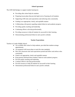# **School Agreement**

The LMS Staff pledges to support student learning by:

- Providing after school help for students.
- Preparing lesson plans that provide high levels of learning for all students.
- Supporting LMS rules and expectations and enforcing rules consistently.
- Grading in an appropriate, timely, and equitable manner.
- Collaborating with parents regarding student behavior and academic progress.
- Providing quality teaching and leadership.
- Continuing efforts to develop professionally.
- Providing resources to help all students be successful in their learning.
- Demonstrating professional behavior and a positive attitude.

# **Teacher Expectations**

Teachers at Lander Middle School:

- Are available after school to help students, provided that students arrange appointments.
- Are prepared with lesson plans to teach the state standards.
- Have fair classroom rules and expectations posted and follow and enforce rules consistently.
- Grade in an appropriate, timely and equitable manner.
- Keep parents informed about students' behavior and academic progress.
- Provide quality teaching and leadership.
- Continue efforts to develop professionally.
- Provide resources to help all students be successful in their learning.
- Demonstrate professional behavior and a positive attitude.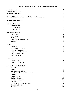# **Table of Contents (adjusting after additions/deletions accepted)**

| <b>Principal Letter</b>                                               | $\overline{2}$ |
|-----------------------------------------------------------------------|----------------|
| <b>Assistant Principal Letter</b>                                     | $\overline{3}$ |
| <b>Home/School Compact</b>                                            | $\overline{4}$ |
| <b>Mission, Vision, Value Statements &amp; Collective Commitments</b> | 9              |
| <b>School Improvement Plan</b>                                        | 10             |
| <b>Academic Information</b>                                           |                |
| <b>Grading System</b>                                                 | 10             |
| <b>Grade Reporting</b>                                                | 10             |
| Saber Support                                                         | 10             |
| <b>Student Expectations</b>                                           |                |
| Hall Behavior                                                         | 11             |
| <b>Dress Code</b>                                                     | 11             |
| Tardiness                                                             | 12             |
| Drug Dog/Video Surveillance                                           | 12             |
| Truancy                                                               | 12             |
| <b>Discipline</b>                                                     |                |
| Procedures                                                            | 13             |
| After School Detention                                                | 13             |
| In-School Suspension                                                  | 13             |
| Out-of-School Suspension                                              | 14             |
| <b>Progression Guidelines</b>                                         | 14             |
| <b>Rule Definitions</b>                                               | 16             |
| <b>Attendance</b>                                                     |                |
| <b>Absence Reporting</b>                                              | 18             |
| Checking Out of School                                                | 18             |
| <b>Services Available to Students</b>                                 |                |
| <b>Breakfast</b>                                                      | 19             |
| Lunch                                                                 | 19             |
| <b>Lunchroom Guidelines</b>                                           | 19             |
| Food Service Meal Price Notification                                  | 19             |
| Lockers                                                               | 20             |
| <b>Closed Campus</b>                                                  | 20             |
| <b>Student Valuables</b>                                              | 20             |
| Electronic Equipment                                                  | 20             |
| <b>Cell Phones</b>                                                    | 20             |
| Books, Equipment and Materials                                        | 21             |
| <b>Counseling Services</b>                                            | 21             |
| Telephone Use                                                         | 21             |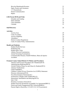| Bicycles/Skateboards/Scooters                                                 | 21       |
|-------------------------------------------------------------------------------|----------|
| Signs, Posters and Literatures                                                | 21       |
| 1:1 Chromebooks                                                               | 21       |
| <b>Parent Communication</b>                                                   | 22       |
| Raptor                                                                        | 22       |
| <b>LMS Parent HUB and FAQs</b>                                                |          |
| Schedule and Grading                                                          | 23       |
| Daily Schedule                                                                | 23       |
| <b>Class Schedules</b>                                                        | 24       |
| Calendar                                                                      | 25       |
| <b>Staff Directory</b>                                                        | 26       |
| <b>Activities</b>                                                             |          |
| <b>Activity Fees</b>                                                          | 29       |
| Code of Conduct                                                               | 29       |
| <b>Activity Eligibility</b>                                                   | 29       |
| Attendance                                                                    | 30       |
| <b>District Conduct Regulations</b>                                           | 30       |
| Code of Conduct Policy Administration                                         | 32       |
| <b>Health and Medicine</b>                                                    |          |
| <b>Student Health Services</b>                                                | 33       |
| <b>Health Records</b>                                                         | 33       |
| <b>Health Office Visits</b>                                                   | 33       |
| <b>Athletic Physical Examinations</b>                                         | 33       |
| <b>Annual Screening Examinations</b>                                          | 33       |
| Communicable Diseases, Health Problems, Illness & Injuries                    | 33       |
| Accidents                                                                     | 33       |
| <b>Fremont County School District #1 Policies and Procedures</b>              |          |
| Absences and Excuses Procedures (K-8 Students)(JE-R)                          | 34       |
| Administering Medicine(JHCD)                                                  | 34       |
| Alcohol/Tobacco/Drug Use and Abuse by Students(JICG)                          | 36       |
| <b>Asbestos Notifications</b>                                                 | 37       |
| Child Find(IHBA)                                                              | 37       |
| Children's Online Privacy Protection Act (COPPA) Statement                    | 38       |
| Directory Information(JO-R)                                                   | 38<br>38 |
| Non-Discrimination Statement(AC)<br>Notification of Rights under FERPA(JRA-E) | 39       |
| Harassment, Intimidation and Bullying(JICFA)                                  | 41       |
| Safe 2 Tell                                                                   | 43       |
| Homeless Assistance Notice(JLG)                                               | 43       |
| Student Network and Internet Acceptable Use Agreement (IIBF-E)                | 45       |
| Parent and Family Engagement(Title I Schools)(KBDA)                           | 48       |
| Parents Right to Know(Sec.1112.[20 U.S.C.6312], section(e))                   | 50       |
|                                                                               |          |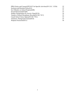| PPRA Notice and Consent/OPT-OUT for Specific Activities (20 U.S.C. 1232h) | 52 |
|---------------------------------------------------------------------------|----|
| Seclusion and Restraint Policy(JLJ)                                       | 53 |
| Sex Offenders on School Property (KIB)                                    | 53 |
| Sexual Harassment (GCQD)                                                  | 53 |
| <b>Student Transportation for Activity Trips (JFCD)</b>                   | 54 |
| Transfer of School Disciplinary Records(20 USC 7917)                      | 55 |
| Unsafe School Choice Option (20 USC 7912)                                 | 55 |
| Volunteers-Background Checks(IICD)                                        | 55 |
| Weapons Possession(GCU)                                                   | 56 |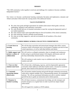#### **MISSION**

"The LMS community works together to motivate and challenge ALL students to become confident, independent learners."

#### **VISION**

Our vision is to become a professional learning community that plans and implements a dynamic and vibrant curriculum which meets the varying needs of the adolescent learner.

# **VALUE STATEMENTS**

- We value clear goals and high expectations for student achievement which guide a relevant, challenging, integrative and exploratory curriculum.
- We value flexible delivery of essential curriculum to meet the varying developmental needs of our student population.
- We value mutual respect and responsible behavior from all members of the school community.
- We value nurturing a positive attitude toward learning.
- We value an inviting, supportive, and safe environment for all members of the school community.

| 1. Create focus on<br>learning                                 | We will develop curriculum and instructional strategies that utilize various<br>resources which will promote active involvement of students, provide for their<br>varied experiences, as well as individual abilities and talents.                                                                          |
|----------------------------------------------------------------|-------------------------------------------------------------------------------------------------------------------------------------------------------------------------------------------------------------------------------------------------------------------------------------------------------------|
| 2. Build, support and<br>nurture a culture of<br>collaboration | We will work as a collegial community, share in strengths and weaknesses<br>while acting in a professional manner with integrity and honesty and will<br>develop relationships characterized by caring and respect.                                                                                         |
|                                                                | We will continue to seek creative ways to celebrate each other, this includes<br>students and staff.                                                                                                                                                                                                        |
| 3. Clear on what<br>students must learn                        | We will provide a challenging, rigorous, and developmentally appropriate<br>curriculum which addresses individual student needs, is focused on academic<br>growth, and is based on best practices and current research.                                                                                     |
| 4. Constantly<br>measuring student<br>effectiveness            | We will monitor student learning and growth through continuing assessments,<br>which allow students multiple ways of demonstrating mastery, are meaningful,<br>and just. We will use assessment information not only to monitor students<br>growth but also to guide our instruction and to inform parents. |
| 5. Response to<br><b>Student Learning</b>                      | We will share resources, communicate knowledge, provide strategies and<br>monitor progress on a regular basis in order to positively impact student<br>achievement.                                                                                                                                         |
|                                                                | We will regard ALL students as OUR students.                                                                                                                                                                                                                                                                |

# **LANDER MIDDLE SCHOOL COLLECTIVE COMMITMENTS**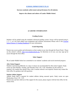## **[SCHOOL IMPROVEMENT PLAN](https://docs.google.com/document/d/16d1LmJ2bpvKNfWbL4io-Qu-eKU7l78rzgu23p3aQ0As/edit?usp=sharing)**

**Increase academic achievement and performance for all students.**

**Improve the climate and culture of Lander Middle School.**

# **ACADEMIC INFORMATION**

### **Grading System**

Students will be graded using the standards referenced grading system. Scores will be reported using 4, 3, 2, 1, or 0 for each subject area assignment and common assessments. Please refer to the [Fremont](https://docs.google.com/document/d/1MuVHzGLve38TE6qYuPCA_c-CYOFgGEjripMgRRRsvOs/view) [School District #1 Grading Handbook](https://docs.google.com/document/d/1MuVHzGLve38TE6qYuPCA_c-CYOFgGEjripMgRRRsvOs/view) for more information.

### **Grade Reporting**

Parents may access grades and information on their student at any time through the Parent Portal. Please see the school's website, [http://www.landerschools.org,](http://www.landerschools.org) for directions on its use; you may sign up for access through the front office.

#### **Saber Support**

We at Lander Middle School are committed to our students' academic and social emotional progress.

#### **After School Support**

Students experiencing difficulty in a class or classes are recommended for after-school support. Study rooms are open Monday, Tuesday, and Thursday from 3:20 - 4:20. Attendance for the entirety is required. Any student may attend if they wish, a teacher referral is not required. Parents may contact the front office for guidance and with questions

#### **Student Athlete Support**

Athletic Study Hall is required for student athletes during seasonal sports. Study rooms are open Wednesdays from 2:30 - 3:45.

Parents may opt their child out of this support for the season, please inquire with the front office for the release form.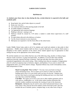#### **SABER EXPECTATIONS**

#### **Hall Behavior**

#### **As students pass from class to class during the day, certain behavior is expected in the halls and academic pods:**

- Keep hands, feet, and all other objects to yourself.
- Keep your voice low.
- Use courteous behavior when passing people in the hall.
- No public displays of affection.
- Use appropriate and courteous language.
- Walking is allowed running is not.
- Hallways should be cleared by 3:30 unless a student is under direct supervision of a staff member.
- No open drinks allowed in the hallways or lockers.
- Use the closest restroom to your classroom.
- Hall passes are required to visit the front office or the school nurse.

#### **Dress Code**

Lander Middle School takes pride in all of its students and would ask students to take pride in their appearance. Middle school students shall not dress or groom themselves in a manner which causes a disruption of the orderly operation of the school. Some student apparel may be appropriate in other settings but may not be appropriate in the school setting.

We ask that students not wear clothes that have any of the following: drug, alcohol, or tobacco logos, obscene words or pictures, or gang-associated attire. In addition, we do not allow bare midriffs, underwear showing, exposed cleavage or buttocks. Tank tops and other sleeveless shirts may be considered inappropriate in the school setting. Other clothing items that are examples of inappropriate attire for school are pajamas (tops or bottoms), slippers, and bandanas. If you come to school with inappropriate attire, you will be asked to change. Repeated offenses may result in disciplinary action. Staff interpretation is final.

> **Head Covering Rule** *"Door to Door"* **-** You may wear your head covering to school and during recess, but we expect you to remove it when you enter the building and to leave it in your locker until you leave for the day. Students may not have their head covered upon entering the building and may cover their head once they have exited the building.

> **Coat Rule -** We expect you to leave your coat or other outdoor garments such as vests, gloves, windbreakers, etc., in the locker unless teachers determine that extreme weather conditions necessitate the wearing of coats in the classroom. **Backpacks -** Backpacks may be used to carry school and personal items to and from school. They must be left at the student's locker from bell to bell. This also includes the use of satchels, purses, computer bags, or any other form of bag or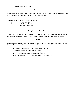case used to conceal items.

# **Tardiness**

Students are expected to be in class and ready to work every period. Students will be considered tardy if they are not in the classroom prepared for class when the bell rings.

### **Consequences for being tardy to class periods 1-8:**

- 6 Lunch Detention 8 After School Detention
- 10+ Possible Parent Meeting

# **Drug Dog/Video Surveillance**

Lander Middle School may use a DRUG DOG and VIDEO SURVEILLANCE periodically as a deterrent for drugs in school and to assist in maintaining a safe and orderly learning environment.

# **Truancy**

A student who is absent without the consent of his/her parents and/or the school officials is truant. Truancy will be considered cause for disciplinary action. A student is truant if he/she:

- Leaves school without obtaining a pass from the school.
- Leaves school at lunchtime without a pass.
- Is absent without permission from his/her parents.
- Is absent from individual classes without permission.
- Obtains a pass to go to a certain place and does not report there.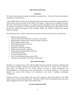#### **DISCIPLINE POLICIES**

#### **Procedures**

We believe that students are capable of abiding by reasonable rules. We also feel that each individual is responsible for his/her actions.

Lander Middle School operates on the philosophy that normal classroom attendance and participation is educationally sound and essential to the welfare of the students. School rules are established to promote that kind of educational environment. If a student must have disciplinary action taken against him/her for violation of school rules, it is desired that the action shall be administered in a manner that minimally disrupts the educational program of that particular student, but effectively brings about positive behavioral changes.

The following actions or others as deemed necessary may be enforced for infractions of school rules:

- Student-teacher conference
- Time-out in the office (followed by conference with teacher)
- Student-teacher conference after school in teacher's classroom
- Parent-student-teacher contact
- Parent-student-principal conference
- After-school detention
- Suspension of specific privileges
- Student-parent-counselor conference
- Student-parent-principal-teacher conference
- **•** After School Detention
- In-school suspension (ISS)
- Out-of-school suspension from school (OSS)
- Expulsion (with hearing with the Board of Education)

#### **After-School Detention**

Detentions are assigned based on the LMS Discipline Progression Rubric (see below). Detention held after school on Monday, Tuesday, and Thursday from 3:20 to 4:20 p.m. Parents will be notified 24 hours before the detention is to be served. Students will have to make arrangements with parents/guardians for transportation from detention prior to serving the detention. An unexcused absence, for removal from detention for misbehavior, may result in additional disciplinary consequences.

Students involved in school athletics who have been assigned to after-school detention may attend practice after serving the detention that day. Detentions will be served in the detention room only unless other arrangements have been made with an administrator.

### **In- School Suspension (ISS)**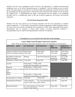Students who have been suspended in-school will have the opportunity to complete missed/missing assignments once an In School Suspension packet is completed. Once the student arrives at school, he/she will report directly to the ISS area of the main office and remain there until the end of the school day (including lunch & passing periods). Schoolwork will be collected for the student to work on during the assigned time. If administration has made a determination that the student is not completing provided work or is misbehaving while in ISS, the in-school suspension will become out-of-school suspension.

#### **Out-Of-School Suspension (OSS)**

Students who have been placed on out-of-school suspension will have the opportunity to complete missed assignments. It is the student's responsibility to obtain assignments (without disrupting classes). All work is due to the teacher immediately upon completion of OSS. When administration has made a determination that no progress is being made towards correcting behavioral problems, a recommendation may be made to the Superintendent of Schools for expulsion.

| *Consequences can vary based on the discretion of the principal.                              |                                                                                           |                                                 |                                   |                                            |  |  |
|-----------------------------------------------------------------------------------------------|-------------------------------------------------------------------------------------------|-------------------------------------------------|-----------------------------------|--------------------------------------------|--|--|
| <b>Lander Middle School Discipline Progression Guidelines</b>                                 |                                                                                           |                                                 |                                   |                                            |  |  |
|                                                                                               | (Note: These are guidelines and actual consequences may vary depending on circumstances.) |                                                 |                                   |                                            |  |  |
| <b>OFFENSES</b><br>(RED)                                                                      | <b>1ST OFFENSE</b>                                                                        | <b>2ND OFFENSE</b>                              | 3RD<br><b>OFFENSE</b>             | <b>HABITUAL</b><br><b>DISOBEDIENC</b><br>E |  |  |
| <b>Aggressive Physical Contact Notify Police</b><br>(Severe) Punching, Kicking 2 Day OSS      |                                                                                           | <b>Notify Police</b><br>3 Day OSS               | <b>Notify Police</b><br>5 Day OSS | Notify Police<br>Recommend<br>Expulsion    |  |  |
| <b>Bus Behavior Infractions</b><br>(follow bus rubric)                                        | Warning                                                                                   | 1 Day Bus Suspension 3 Day Bus                  | Suspension                        | Loss of Bus<br>Privileges                  |  |  |
| Disruption of Entire School                                                                   | $\vert$ 1 Day OSS                                                                         | 2 Day OSS                                       | 3 Day OSS                         | 5 Day OSS                                  |  |  |
| Alcohol                                                                                       | Notify Police, 2-10Days OSS<br>possible Recommendation for Expulsion                      |                                                 |                                   |                                            |  |  |
| Weapons<br>(depends on type of weapon possible Recommendation for Expulsion<br>and<br>Intent) | Notify Police, 2-10Days OSS                                                               |                                                 |                                   |                                            |  |  |
| Drugs                                                                                         | Notify Police, 2-10Days OSS<br>possible Recommendation for Expulsion                      |                                                 |                                   |                                            |  |  |
| Inciting Others to Violence                                                                   | 1 Day ISS                                                                                 | 2 Days ISS                                      | 1 Day OSS                         | 2 Days OSS                                 |  |  |
| Insubordination/Defiance                                                                      | 1 Hour Detention<br>Lunch or After school                                                 | (2) 1 hour Detentions 1 Day ISS<br>After School |                                   | 2 Day ISS                                  |  |  |
| <b>Missing Detention</b>                                                                      | (2) 1 Hour Detentions<br>Lunch or After School                                            | 1 Day ISS                                       | 2 Days ISS                        | 3 Day ISS                                  |  |  |

14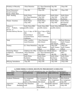| Profanity or Obscenity                                                 | 1 Hour Detention                                                                        | (2) 1 Hour Detentions 1 Day ISS<br>After School                                   |                                                  | 2 Days ISS                                            |  |
|------------------------------------------------------------------------|-----------------------------------------------------------------------------------------|-----------------------------------------------------------------------------------|--------------------------------------------------|-------------------------------------------------------|--|
| Sexual Harassment /<br><b>Sexual Comments</b><br>Racial / Ethnic Slurs | 1 Day ISS                                                                               | 2 Days ISS                                                                        | 1 Day OSS                                        | 2 Days OSS                                            |  |
| Theft / Stealing                                                       | <b>Notify Police</b><br>(2) 1 Hour Detentions<br>Restitution                            | <b>Notify Police</b><br>1 Day OSS<br>Restitution                                  | Notify Police<br>3 Day OSS<br>Restitution        | <b>Notify Police</b><br>5 Day OSS<br>Restitution      |  |
| Threats / Extortion                                                    | Notify Police<br>2 Day OSS                                                              | <b>Notify Police</b><br>3 Day OSS                                                 | <b>Notify Police</b><br>5 Day OSS                | <b>Notify Police</b><br>Recommend<br>Expulsion        |  |
| Tobacco or<br>Products,<br>Chew<br>devices, or                         | Notify Police/SRO<br>vaping possible citation                                           | Notify Police/SRO<br>possible citation                                            | possible citation                                | Notify Police/SR Notify Police/SRC                    |  |
| <b>Nicotine Delivery Devices</b>                                       | Up to 4 days of $ISS$<br><b>OSS</b><br>Parents/School<br>Counselor/Nurse<br>Conference. | Up to 5 days of ISS $\alpha$<br>OSS.<br>Paren<br>/Counselor<br>/Nurse Conference. |                                                  |                                                       |  |
| Tardy                                                                  | (After 3 tardies)<br><b>Lunch Detention</b>                                             | 1 Hour Detention<br><b>After School</b>                                           | (2)<br>$\mathbf{1}$<br>Detention<br>After School | <b>Ho</b> Parent Meeting<br>Notify Truancy<br>Officer |  |
| Truancy                                                                | (2) 1 Hour Detentions                                                                   | 1 Day ISS<br>Notify Truancy<br>Officer                                            | 2 Days ISS<br>Notify Truancy<br>Officer          | 3 Days ISS<br>Notify Truancy<br>Officer               |  |
| <b>Technology Misuse</b><br>(cellphones,<br>$ etc.$ )                  | Cellphone into office<br>Chromebook, 1 Hour Detention<br>Lunch                          | Cellphone into office Cellphone<br>$(2)$ 1 Hour Detention office<br>After School  | 1 day ISS                                        | $\frac{1}{2}$<br>inCellphone<br>office<br>1 day ISS   |  |
| Vandalism                                                              | Notify Police<br>Restitution<br>(2) 1 Hour Detentions 2 Days ISS                        | <b>Notify Police</b><br>Restitution                                               | Notify Police<br>Restitution<br>1 Day OSS        | <b>Notify Police</b><br>Restitution<br>2 Days OSS     |  |
| Bullying/Intimidation                                                  | 1 Day ISS                                                                               | 2 Days ISS                                                                        | 1 Day OSS                                        | 2 Days OSS                                            |  |

| <b>LANDER MIDDLE SCHOOL DISCIPLINE PROGRESSION GUIDELINES</b> |                                                                                           |                    |                      |                    |  |  |  |
|---------------------------------------------------------------|-------------------------------------------------------------------------------------------|--------------------|----------------------|--------------------|--|--|--|
|                                                               | (Note: These are guidelines and actual consequences may vary depending on circumstances.) |                    |                      |                    |  |  |  |
| <b>OFFENSES</b>                                               | <b>1ST OFFENSE</b>                                                                        | <b>2ND OFFENSE</b> | <b>3RD OFFENSE</b>   | <b>HABITUAL</b>    |  |  |  |
| (YELLOW)                                                      |                                                                                           |                    |                      | <b>DISOBEDIENC</b> |  |  |  |
|                                                               |                                                                                           |                    |                      |                    |  |  |  |
| Academic Dishonesty                                           | New Assignment                                                                            | New Assignment     | Office Referral      | Office Referral    |  |  |  |
|                                                               | 1 Detention                                                                               | $(2)$ 1 Detention  | New Assignment       | New Assignment     |  |  |  |
|                                                               | Lunch or After School   After School                                                      | 1 Day ISS          |                      | 2 Day ISS          |  |  |  |
| Aggressive                                                    | Physical <sup>[1</sup> Hour Detention]                                                    | (2)                | Hour Office Referral | Office Referral    |  |  |  |
| Contact<br>(bumping, Lunch)                                   |                                                                                           | Detentions         | 1 Day ISS            | 2 Days ISS         |  |  |  |
|                                                               |                                                                                           | After School       |                      |                    |  |  |  |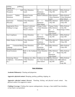| grabbing,<br>pushing,<br>tripping, etc.)                                          |                                                                               |                                                     |                                                                                       |                                                         |
|-----------------------------------------------------------------------------------|-------------------------------------------------------------------------------|-----------------------------------------------------|---------------------------------------------------------------------------------------|---------------------------------------------------------|
| Classroom<br>Disruption                                                           | Hall  1 Hour Detention<br>Lunch                                               | (2)<br>1<br>Detentions<br>After School              | Hour Office Referral<br>1 Day ISS                                                     | Office Referral<br>2 Days ISS                           |
| Tardies<br>Excessive<br>Detentions                                                | Student/Teacher<br>Conference                                                 | Parent Conference Office Referral                   | 1 Hour Detention<br>Lunch                                                             | Office Referral<br>1 Hour Detention<br>After School     |
| Inadvertent<br>Obscenity                                                          | Profanity 1 Hour Detention<br>Lunch                                           | $\mathbf{1}$<br>(2)<br>Detentions<br>After School   | Hour Office Referral<br>1 Day ISS                                                     | Office Referral<br>2 Days ISS                           |
| Inappropriate Dress,<br><b>Clothing Coverage</b>                                  | <b>Student Conference</b><br><b>Change Clothes</b><br><b>Parent Contacted</b> | <b>Change Clothes</b><br>1 Hour Detention<br>Lunch  | Change Clothes<br>Office Referral<br>$\mathbf{1}$<br>(2)<br>Detention<br>After School | Office Referral<br>1 Day ISS<br>Hour Change Clothes     |
| Non-Compliance                                                                    | 1 Hour Detention<br>Lunch                                                     | (2)<br>$\mathbf{1}$<br>Detentions<br>After School   | hour Office Referral<br>1 day ISS                                                     | Office Referral<br>2 days ISS                           |
| Public Display of Affection 1 Hour Detention                                      | Lunch                                                                         | $\mathbf{1}$<br>(2)<br>detentions<br>After School   | hour Office Referral<br>1 Day ISS                                                     | Office Referral<br>2 Days ISS                           |
| Rude<br>Language<br>Directed towards someone                                      | Comments/Body  1 Hour Detention<br>Lunch                                      | (2)<br>$\mathbf{1}$<br>Detentions<br>After School   | Hour Office Referral<br>1 ISS                                                         | Office Referral<br>2 Days ISS                           |
| Social Exclusion                                                                  | Refer to the Guidance <sup>[1</sup> Hour Detention]<br>Dept.                  | Lunch                                               | Office Referral<br>(2)<br>Detentions<br>After School                                  | Office Referral<br>Hour <sup> 1</sup> Day ISS           |
| <b>Technology Misuse</b><br>(cellphones, Chromebook, 1 Hour Detention<br>$etc.$ ) | Cellphone into office<br>Lunch                                                | Cellphone into officoffice Referral<br>After School | (2) 1 Hour DetentidCellphone into officellphone<br>1 day ISS                          | Office Referral<br>$\mathbf{in}$<br>office<br>2 day ISS |

# **Rule Definitions**

**Academic Dishonesty:** Cheating and plagiarism.

**Aggressive physical contact:** Bumping, pushing, grabbing, tripping, etc.

**Aggressive physical contact (Severe)**: Punching, kicking, and physical sexual contact. Any physical contact of an aggressive nature.

**Clothing Coverage:** Clothing that exposes undergarments, cleavage, a bare midriff, bare shoulders, or bare back is not permitted.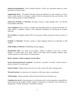**Defiance/Insubordination**: (Active Refusal) Refusal to follow any reasonable request by school personnel in a timely manner.

**Inappropriate Dress**: All students shall dress and groom themselves in such a manner so as not to create a safety hazard or to disrupt or distract from the educational process and activities of the school (reference page 8 in student handbook).

**Inadvertent Profanity or Obscenity:** Swearing, cursing or vulgar language that is not directed toward another individual.

**Non-Compliance:** Passive refusal to complete any reasonable request by a school staff member in a timely manner. Examples: turning in work, habitually unprepared, not showing up for assigned study hall.

**Peer Problems**: Friendship conflicts NOT involving name calling, systematic exclusions, rumors, or threats.

**Profanity or Obscenity:** Swearing, cursing or vulgar language directed at an individual or staff member.

**Public Display of Affection:** Handholding, kissing, hugging.

**Racial/Ethnic Slurs**: Any attack on the integrity, validity, or viability of one's race, or ethnic, religious, or cultural make up by either verbal or non-verbal means including comments, signs, symbols, gestures or other avenues of communication.

### **Rude Comments or Body Language towards Others**

**Sexual Harassment/Sexual Comments**: Unwelcome, unwanted or sexually oriented verbal or physical conduct of a sexual nature.

**Social Exclusion**: Telling someone else not to sit, work, or play with others, starting rumors.

**Threats/Extortion**: An expression of an intention to inflict pain, injury, or punishment.

**Theft/Stealing:** Taking something without permission that does not belong to you.

**Vandalism (low level):** Causing damage to or destroying school or private property, using graffiti on school and/or private property (initials, slogans, or drawings) on a sidewalk, wall or restroom, etc. (damage that is fixable, temporary or restorable by student).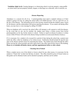**Vandalism (high level):** Causing damage to or destroying school or private property, using graffiti on school and/or private property (initials, slogans, or drawings) on a sidewalk, wall or restroom, etc.

#### **Absence Reporting**

Attendance is a concern for all of us. A parent/guardian must report a student's absence or if their student is going to be late, by calling the school office (332-4040) between 7:30 a.m. and 8:30 a.m. on the day of the absence. The information given to the secretary should include the student's name, reason for the absence, and the relationship of the person reporting the absence. If you cannot call during office hours, you may leave a voice message by calling 332-4040.

When no telephone call is received, the school office will attempt to call a parent to verify the absence. In the event that no one can be reached, the student must bring a written excuse from his/her parent/guardian on the day he/she returns to school. Failure to report an absence by phone or written excuse within 48 hours will result in the absence being recorded as an unexcused absence (truancy).

If it is necessary for a student to be excused for a period of time during the school day, a parent must notify the office, either by telephone or by written excuse. Notification should include the specific time span of the absence and the reason for requesting the release. The student must check through the office before leaving the school grounds and must report back to the office upon his/her return to the building. **Please try to schedule all dentist, doctor, and hair appointments before or after school.**

#### **Checking Out of School**

When a student moves out of the district or leaves school for any other reason, it is necessary for the student to "Check Out" on their last full day of school. The office should be given 24 hours' notice so that grades can be obtained, books can be checked in properly, and fines can be settled.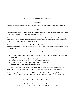#### **SERVICES AVAILABLE TO STUDENTS**

#### **Breakfast**

Breakfast will be served from 7:40-7:55 a.m. Food Service account numbers are accepted at breakfast.

#### **Lunch**

A nutritious lunch is served every day in the cafeteria. Students will be issued a personal Food Service account number to which all of their payments can be credited.

Only the person to whom account numbers are issued may use the account number. Students may not borrow Food Service account numbers from other students. Students caught trying to use someone else's account will be subject to our discipline procedures.

Checks for the Food Service account should be made out to Lander Middle School. We do not cash checks or give change. Once students have exhausted all money applied to their account they must replenish credit.

### **Lunchroom Guidelines**

- No more than seven (7) people will be allowed at each table. Rearranging of chairs is not permitted.
- Keep hands, feet and objects (i.e. food, etc.) to yourself.
- Leave your lunch area as clean as or better than when you came.
- No food or drinks are permitted to be taken out of the lunchroom.
- Chromebooks will not be permitted during lunch.

In accordance with the Federal Law and U.S. Department of Agriculture policy, this institution is prohibited from discriminating on the basis of race, color, national origin, sex, age or disability.

To file a complaint of discrimination, write USDA, Director, Office of Civil Rights, 1400 Independence Avenue, S.W., Washington, D.C. 20250-9410, or call (800) 795-3272 (voice) or (202) 720-6382 (TTY).

### **FCSD#1 Food Service Meal Price Notification**

Breakfast \$1.50, Lunch \$2.75, Extra Milk \$.50 Reduced priced meals: Breakfast \$.30, Lunch \$.40, Extra Milk \$.40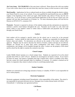**Ala Carte items: NO CHARGING** of ala carte items is allowed. Please discuss this with your student if you wish to allow them to have ala carte items they must have money on their account or cash in hand.

**Meal benefits:** Applications for free or reduced meals are always available through the district website, your Parent Portal or at any of our schools. If you were qualified for meal benefits last year you **MUST** reapply at the beginning of the school year again. Meal benefits only rollover 30 days into the next school year. If you do not have a current meal benefit application of file for the new school year your students will lose their meal benefit as of October 1st. For more information please call Food Service Director at (307)332-4711, extension 2141.

**Payments:** Payment is expected in advance of the students eating each day and parents are expected to maintain a positive meal balance throughout the year. Payments can be made via, cash, check and money orders to your student's school or online check or debit/credit card payments may be made through your Parent Portal.

#### **Lockers**

Each student will be assigned a specific locker for the school year to secure his or her personal possessions. Lockers should be kept locked at all times. Students are responsible for keeping their lockers clean and orderly. No decorations are allowed on the outside of the locker without office approval. Magnets may be used to decorate the interior of lockers, stickers and tape are not allowed. Students are advised not to share their locker combinations with others. Locker assignments, combinations, and changes will be handled through the office. Lockers are the property of the school and the school has the right to examine the contents at any time.

### **Closed Campus**

Lander Middle School operates on a closed campus basis. Students are expected to be on the school grounds from 8:00 a.m. until 3:20 p.m. Students are encouraged to eat lunch at school. If you wish to go home for lunch, your parent or guardian must sign a request form, which is available in the office, and also contact the school principal either by telephone or in person. If a student is checked out for lunch, it is imperative they return to school on time to avoid being marked tardy.

### **Student Valuables**

Students are cautioned not to bring large amounts of money or valuables. FCSD #1 is not responsible for lost or stolen property.

### **Electronic Equipment**

Electronic equipment, including issued Chromebooks, is the responsibility of the student. The school is not responsible for personal electronic devices. Damaged, lost or stolen chrome books will follow Chromebook 1:1 technology user agreement policies.

### **Cell Phones**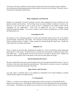At the start of the day, cell phones will be turned to silent and stored in the student's locker. Students may check phones during passing periods at their lockers, but may not leave the pod. The policy may be revised after evaluating its effectiveness.

#### **Books, Equipment, and Materials**

Students are responsible for books, materials, and any other equipment they have checked out from faculty members and the library. Most of these items are made available to students at no direct cost. However, in the event that an item or items are lost or damaged by the student, he/she will be responsible for the replacement. Fines will be charged for any lost or damaged school textbooks/equipment/supplies. If you lose or destroy a book or piece of equipment you will be charged full replacement cost.

#### **Counseling Services**

The purpose of the counseling program is to help each individual student achieve his or her highest growth mentally, emotionally, and socially. The counselors welcome the opportunity to talk things over with any student, parent, or teacher. Various groups are formed during the school year. Contact the school office for any further information.

#### **Telephone Use**

There is a phone in the front office designated for student use. It may be used before school, during the lunch period, or after school. The phone may be used between class periods or during class time with a front office pass. Using the phone will not be an excuse to be tardy to the next class. Students are expected to speak politely while on the phone or they may lose their phone privileges.

#### **Bicycles/Skateboards/Scooters**

Bicycles, skateboards and scooters must be parked in the racks provided and should be locked. They are to remain in the racks until school has been dismissed. There shall be no bicycle, scooter, or skateboard riding on the school grounds during the school day.

#### **Signs, Posters, and Literature**

Any sign, poster, or literature that is to be displayed or distributed in the school building or grounds requires the prior approval of administration.

#### **1:1 Chromebooks**

LMS is a 1:1 school. Every student has the opportunity to check out and use a Chromebook for the duration of the school year. Chromebooks will be checked out in the fall and become the responsibility of the student. Chromebooks are checked out at no direct cost to the student; however, in the event the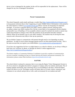device is lost or damaged by the student, he/she will be responsible for the replacement. Fines will be charged for any lost or damaged Chromebook.

## **Parent Communication**

The school frequently sends emails and keeps a weekly blog [\(http://landermiddleschool.blogspot.com/\)](http://landermiddleschool.blogspot.com/) to keep parents informed about what's happening at Lander Middle School. Information is also posted to the school district's website ([www.landerschools.org\)](http://www.landerschools.org) Please visit the site frequently for important messages. If you have a question about your child's classes, student concerns, bullying issues, etc.,please contact your child's teachers first. He/she is most likely to be acquainted with the situation and possible ways of handling it. If an acceptable solution cannot be reached, the teacher or parent may contact the principal to arrange a time when the situation can be presented and other solutions offered. Please do not hesitate to go to your child's teachers. The teachers may be having the same concerns and a discussion may help to clear up any questions.

We use Infinite Campus to communicate with parents through email or text depending on parent preference. In order to receive these messages parents need to use their parent portal account. This is the same account that you register your child/children. ([www.landerschools.org/parentportal/\)](http://www.landerschools.org/parentportal/)

If you have any suggestions for how we might improve as a school or district, we are always willing to hear from you, in person, by phone, or through our district's online suggestion box. (<http://bit.ly/LanderSchoolsSuggestionBox>)

The district employs a Community Relations Coordinator to provide a number of communication services to parents, including serving as a liaison between the district and parents/community. For information, please contact Matt Jacobson (mjacobson@landerschools.org).

### **RAPTOR**

The school district is pleased to announce that we are using the Raptor Visitor Management System in all of our schools to strengthen the district's program of campus safety for students and faculty. Part of keeping students and faculty safe is knowing who is in our buildings at all times, which the Raptor system will allow us to do. The Raptor system will better allow us to track visitors, contractors, and volunteers in our schools and provide us with a safer environment for our students and staff.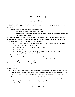# **LMS Parent HUB and FAQs**

# **Schedule and Grading**

# **LMS students will engage in three Trimester Courses every year including computer science, Spanish, and art.**

- Why are these three courses in the trimester system?
	- Your child will explore each course every year.
	- Spanish and art scaffolded for high school preparation and computer science fulfills state requirements (detail later)

# **LMS students will attend core classes, English Language Arts, social studies, science, and math and exploratory classes, PE, Family and Consumer Science (FACS), band, and choir, on semesters.**

- Why are these three courses in the semester system?
	- $\circ$  3, 40 minute intervention / enrichment period (120 minutes) and 1, 40 minute social emotional community time per week.
	- Preparation time for the band/choir to have 2 concerts/year
	- FACS is a two-teacher course
	- 2 different PE classes and 1 health course provides multiple ways for your child to exhibit proficiency of PE/health standards.

# **Parent Teacher Conferences**

- Trimester courses will have 3 opportunities to share with parents.
- Semester courses will match district conferences, with time to meet prior to the end of each semester by having trimester parent nights.

# **What does this schedule look like for my child?**

● [Example Schedule](https://drive.google.com/file/d/1qOr0yHdj_G1a3zK5mzo3E4872jDUq6t9/view?usp=sharing)

### **Infinite Campus**

- In order to have a schedule that can accommodate Trimesters and Semesters, we had to use six terms in Infinite Campus. A term is just a period of time so the Calendar year is split into six of these. A Semester course will consist of three terms on the schedule for half of a year and a Trimester course will consist of two terms on the schedule for a third of a year.
- Grades will be posted as soon as the course ends for all courses, Trimester and Semester. In-Progress grades, how your student is currently doing, will always be available for students and parents in the Campus Portal.

# **DAILY SCHEDULE**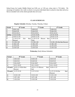School hours for Lander Middle School are 8:00 a.m. to 3:20 p.m. (class alert is 7:56 daily). We encourage all students who walk to school or are given individual rides to school to time their arrival so that an extended wait on the school grounds does not occur.

#### **CLASS SCHEDULES**

**Regular Schedule** (Monday, Tuesday, Thursday, Friday)

| <b>Period</b> | 8 <sup>th</sup> Grade         | $7th$ Grade                       | 6 <sup>th</sup> Grade          |
|---------------|-------------------------------|-----------------------------------|--------------------------------|
|               | $8:00 - 8:42$                 | $8:00 - 8:42$                     | $8:00 - 8:42$                  |
| 2             | 8:46-9:28                     | 8:46-9:28                         | 8:46-9:28                      |
| 3             | $9:32-10:14$                  | $9:32-10:14$                      | $9:32-10:14$                   |
| Int/Enr       | 10:18-10:48                   | 10:18-10:48                       | 10:18-10:48                    |
| 4             | 10:52-11:34                   | $10:52 - 11:34$                   | $10:52 - 11:34$                |
| 5             | $11:34-12:16$<br>(Eat<br>then | $11:34-12:16$<br>then<br>(Recess) | $11:34-12:16$                  |
|               | Recess)                       | Eat)                              |                                |
| 5             | $12:20-1:02$                  | 12:20-1:02                        | $12:20-1:02$ (Eat then Recess) |
| 6             | $1:06-1:48$                   | $1:06-1:48$                       | $1:06-1:48$                    |
| 7             | $1:52-2:34$                   | $1:52-2:34$                       | $1:52-2:34$                    |
| 8             | $2:38-3:20$                   | $2:38-3:20$                       | $2:38-3:20$                    |

**Wednesday** (Early Release Schedule)

| Period                  | 8 <sup>th</sup> Grade | $7th$ Grade                 | 6 <sup>th</sup> Grade    |
|-------------------------|-----------------------|-----------------------------|--------------------------|
| $\vert$ 1               | $8:00 - 8:40$         | $8:00 - 8:40$               | $8:00-8:40$              |
| $\overline{2}$          | 8:44-9:22             | 8:44-9:22                   | 8:44-9:22                |
| $\overline{\mathbf{3}}$ | $9:26-10:07$          | $9:26-10:07$                | $9:26-10:07$             |
| $\overline{\mathbf{4}}$ | $10:11 - 10:52$       | $10:11 - 10:52$             | 10:11-10:52              |
| 5/Lunch                 | 10:52-11:33 (Eat then | 10:52-11:33 (Recess<br>then | 10:56-11:33              |
|                         | Recess)               | Eat)                        |                          |
| 5/Lunch                 | $11:37-12:18$         | $11:37-12:18$               | 11:37-12:18 (Eat<br>then |
|                         |                       |                             | Recess)                  |
| 6                       | $12:22 - 1:03$        | $12:22 - 1:03$              | $12:22 - 1:03$           |
| $\overline{7}$          | $1:07-1:48$           | $1:07-1:48$                 | $1:07-1:48$              |
| 8                       | $1:52-2:30$           | $1:52-2:30$                 | $1:52-2:30$              |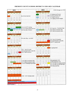# **FREMONT COUNTY SCHOOL DISTRICT #1 2021-2022 CALENDAR**

|    |                | 2021                |                           |                 |                                                      |                |             | 2022           |                           |                | FCSD #1 Bd approved 1/19/21        |
|----|----------------|---------------------|---------------------------|-----------------|------------------------------------------------------|----------------|-------------|----------------|---------------------------|----------------|------------------------------------|
|    |                | July                |                           |                 |                                                      |                |             | <b>January</b> |                           |                |                                    |
| M  | T              | W                   | T                         | $\mathbb F$     |                                                      | M              | T           | W              | T                         | F              |                                    |
|    |                |                     | 1                         | 2               |                                                      |                | 4           | 5              | 6                         | 7              | 1/3 Students/staff return          |
| 5  | 6              | 7                   | 8                         | 9               | 4th of July observed                                 | 10             | 11          | 12             | 13                        | 14             | 1/14 first semester ends           |
| 12 | 13             | 14                  | 15                        | 16              |                                                      | 17             | 18          | 19             | 20                        | 21             | 1/17 Staff in-service              |
| 19 | 20             | 21                  | 22                        | 23              |                                                      | 24             | 25          | 26             | 27                        | 28             | 1/18 Spring semester begins        |
| 26 | 27             | 28                  | 29                        | 30              |                                                      | 31             |             |                |                           |                |                                    |
|    |                |                     |                           |                 |                                                      |                |             |                |                           |                |                                    |
|    |                | <b>August</b>       |                           |                 |                                                      |                |             | February       |                           |                |                                    |
| M  | T              | W                   | T                         | $\mathbf F$     |                                                      | M              | T           | W              | T                         | $\mathbf F$    |                                    |
| 2  | 3              | 4                   | 5                         | 6               |                                                      |                | ı           | 2              | 3                         | $\overline{4}$ |                                    |
| 9  | 10             | 11                  | 12                        | 13              | 8/12,13,16 ICT training                              | $\overline{7}$ | 8           | 9              | 10                        | 11             |                                    |
| 16 | 17             | 18                  | 19                        | 20              | 8/17-23 Teacher/staff inservice                      | 14             | 15          | 16             | 17                        | 18             | 2/21 Inservice - President's Day   |
| 23 | 24.            | 25                  | 26                        | 27              | 8/24 First day of school                             | 21             | 22          | 23             | 24                        | 25             | 2/22 LMS tri-semester ends         |
| 30 | 31             |                     |                           |                 |                                                      | 28             |             |                |                           |                | 2/23 LMS tri-semester starts       |
|    |                |                     |                           |                 |                                                      |                |             |                |                           |                |                                    |
|    |                | September           |                           |                 |                                                      |                |             | March          |                           |                |                                    |
| M  | T              | W                   | T                         | F               |                                                      | M              | T           | W              | T                         | $\mathbf F$    |                                    |
|    |                | t.                  | $\overline{2}$            | 3               |                                                      |                | 1           | 2              | 3                         | 4              |                                    |
| 6  | 7              | 8                   | 9                         | 10              | 9/6 Labor Day - no school                            | 7              | 8           | 9              | 10                        | 11             |                                    |
| 13 | 14             | 15                  | 16                        | 17              |                                                      | 14             | 15          | 16             | 17                        | 18             | 3/18 End of 3rd quarter            |
| 20 | 21             | 22                  | 23                        | 24              |                                                      | 21             | 22          | 23             | 24                        | 25             | 3/25 parent/teacher comp day       |
| 27 | 28             | 29                  | 30                        |                 |                                                      | 28             | 29          | 30             | 31                        |                | 3/28-4/1 spring break              |
|    |                |                     |                           |                 |                                                      |                |             |                |                           |                |                                    |
|    |                | October             |                           |                 |                                                      |                |             | April          |                           |                |                                    |
| M  | T              | W                   | T                         | $\mathbf{F}$    |                                                      | M              | T           | W              | $\mathbb T$               | $\mathbf F$    |                                    |
|    |                |                     |                           | L               |                                                      |                |             |                |                           |                | 4/1 spring break                   |
| 4  | 5              | 6                   | 7                         | 8               | 10/21 End of 1st qrtr                                | 4              | 5           | 6              | 7                         | 8              |                                    |
| 11 | 12             | 13                  | 14                        | 15              | 10/22 parent/teacher comp day                        | 11             | 12          | 13             | 14                        | 15             |                                    |
| 18 | 19             | 20                  | 21                        | 22              | 10/25 Staff in-service                               | 18             | 19          | 20             | 21                        | 22             |                                    |
| 25 | 26             | 27                  | 28                        | 29              |                                                      | 25             | 26          | 27             | 28                        | 29             |                                    |
|    |                |                     |                           |                 |                                                      |                |             |                |                           |                |                                    |
|    |                | November            |                           |                 |                                                      |                |             | May            |                           |                |                                    |
|    | T              | W                   | $\footnotesize{\text{T}}$ | $\mathbf F$     |                                                      | M              | T           | W              | $\footnotesize{\text{T}}$ | $\mathbf F$    |                                    |
| M  |                | 3                   | $\overline{4}$            | 5               |                                                      | $\overline{2}$ | 3           | 4              | 5                         | 6              |                                    |
| 1  | 2<br>9         | 10                  | 11                        | 12              | 11/16 LMS tri-semester ends                          | 9              | 10          | 11             | 12                        | 13             | PHS graduation 5/20                |
| 8  | 16             | 17                  | 18                        | 19              | 11/17 LMS tri-semester starts                        | 16             | 17          | 18             | 19                        | 20             | LVHS graduation 5/22               |
| 15 | 23             | 24                  | 25 <sub>1</sub>           | 26 <sup>°</sup> | 11/24-26 Thanksgiving holiday                        | 23             | 24          | 25             | 26                        | 27             | 5/27 Last day for students (early) |
| 22 |                |                     |                           |                 |                                                      | 30             | 31          |                |                           |                | 5/27 Last day for staff (full day) |
| 29 | 30             |                     |                           |                 |                                                      |                |             |                |                           |                | 5/30 Memorial Day                  |
|    |                |                     |                           |                 |                                                      |                |             | June           |                           |                |                                    |
|    |                | December            |                           |                 |                                                      | M              | $\mathbb T$ | W              | $\mathbf T$               | F              |                                    |
| M  | T              | W                   | T                         | $\mathbb F$     |                                                      |                |             | Г              | 2                         | 3              |                                    |
|    |                | ı                   | $\mathbf{2}$              | 3               |                                                      | 6              | 7           | 8              | 9                         | 10             |                                    |
| 6  | 7              | 8                   | 9                         | 10              |                                                      | 13             | 14          | 15             | 16                        | 17             |                                    |
| 13 | 14             | 15                  | 16                        | 17<br>24        |                                                      | 20             | 21          | 22             | 23                        | 24             |                                    |
| 20 | 21             | 22                  | 23                        |                 |                                                      | 27             | 28          | 29             | 30                        |                |                                    |
| 27 | 28             | 29                  | 30                        | 31              | 12/20 - 12/31 Holiday break                          |                |             |                |                           |                |                                    |
|    |                |                     |                           |                 |                                                      |                |             |                |                           |                |                                    |
|    |                |                     |                           |                 |                                                      |                |             |                |                           |                |                                    |
|    |                | Holiday - NO SCHOOL |                           |                 |                                                      |                |             |                |                           |                |                                    |
|    |                |                     |                           |                 | Inservice or workday - NO SCHOOL                     |                |             |                |                           |                |                                    |
|    |                |                     |                           |                 | *Comp Day for parent/teacher conferences - NO SCHOOL |                |             |                |                           |                |                                    |
|    | End of quarter |                     |                           |                 |                                                      |                |             |                |                           |                |                                    |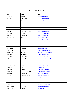# **STAFF DIRECTORY**

| Name                  | <b>Position</b>                   | E-Mail                               |
|-----------------------|-----------------------------------|--------------------------------------|
| Babb. Chris           | PE/Health                         | $cbabb@$ landerschools.org           |
| Babits. Jan           | Paraeducator                      | ibabits@landerschools.org            |
| Bauer, Michael        | Math                              | mbauer@landerschools.org             |
| Colman, Jessica       | <b>Student Services Secretary</b> | jcolman@landerschools.org            |
| Cooper, Jordan        | PE/Health                         | jcooper@landerschools.org            |
| Dayton, Seth          | Kitchen                           | sdayton@landerschools.org            |
| Fross. Devan          | Special Ed                        | dfross@landerschools.org             |
| Green, Kerrie         | <b>Administrative Assistant</b>   | $k$ erriegreen@landerschools.org     |
| Green, Kevin          | Language Arts                     | $kgreen@$ landerschools.org          |
| Green. Tim            | Language Arts                     | $t$ green@landerschools.org          |
| Harris, Stephanie     | Art                               | sharris@landerschools.org            |
| Hastings, Laura       | Language Arts                     | $\text{lhastings@landerschools.org}$ |
| Jensen, Cristina      | Counselor                         | cristinajensen@landerschools.org     |
| Jensen. Luke          | Special Ed                        | liensen@landerschools.org            |
| Johnson, Josev        | Accompanist                       | ijohnson@landerschools.org           |
| Jones, Trenton        | Maintenance                       | tiones@landerschools.org             |
| Jorgensen, Codi       | Science                           | cioregensen@landerschools.org        |
| Kistemann, Cameron    | Vocal Music                       | cameronkistemann@landerschools.org   |
| Linville, Greg        | Maintenance                       | glinville@landerschools.org          |
| Maurer, Kaiden        | Paraeducator                      | kmaurer@landerschools.org            |
| McClung, Jennifer     | Special Ed                        | $j$ ennifermcclung@landerschools.org |
| Mever, Deidre         | <b>Assistant Principal</b>        | dmeyer@landerschools.org             |
| Mever, Joe            | <b>Computer Science</b>           | imever@landerschools.org             |
| Mitchell-Smith, Megan | Therapeutic Counselor             | $mms@$ landerschools.org             |
| Moline. Garth         | <b>Band</b>                       | emoline@landerschools.org            |
| Morton, Jade          | Principal                         | imorton@landerschools.org            |
| Mowrey, Pat           | Facility Maintenance Manager      | pmowrev@landerschools.org            |
| Nichols, Peter        | Language Arts                     | pnichols@landerschools.org           |
| Parker, Erica         | <b>Instructional Facilitator</b>  | eparker@landerschools.org            |
| Peil. Derek           | Language Arts                     | dpeil@landerschools.org              |
| Peters, Halev         | Nurse                             | hneters@landerschools.org            |
| Pettibone, Todd       | Paraeducator                      | $t$ pettibone@landerschools.org      |
| Philpott, Addie       | Paraeducator                      | $aphilpott@$ landerschools.org       |
| Pickerd, Stephanie    | Paraeducator                      | spickerd@landerschools.org           |
| Polson, Stacev        | Counselor                         | spolson@landerschools.org            |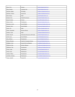| Prine, CeCe        | Science                         | cprine@landerschools.org      |
|--------------------|---------------------------------|-------------------------------|
| Prine, Jeramie     | Language Arts                   | iprine@landerschools.org      |
| Red Bow, Buddy     | PE/Health                       | bredbow@landerschools.org     |
| Red Bow, Chelsey   | Special Ed                      | credbow@landerschools.org     |
| Reid, Alanna       | Math                            | areid@landerschools.org       |
| Rounds, Josie      | Spanish/Languages               | irounds@landerschools.org     |
| Russell, Justina   | Science                         | irussell@landerschools.org    |
| Shoutis, Emily     | Paraeducator                    | eshoutis@landerschools.org    |
| Simonson, Lezlev   | <b>Social Studies</b>           | lsimonson@landerschools.org   |
| Simpson, Steve     | <b>Social Studies</b>           | ssimpson@landerschools.org    |
| Sixbey, Ely        | Math                            | $e$ sixbey@landerschools.org  |
| Sixbey, Jacqueline | Resource Room                   | $isixbev@$ landerschools.org  |
| Stephen, Caleb     | Math                            | cstephen@landerschools.org    |
| Stuttle, Russell   | Information Resources 6th Grade | rstuttle@landerschools.org    |
| Swift, Casey       | <b>Social Studies</b>           | cswift@landerschools.org      |
| West, Melissa      | Paraeducator                    | mwest@landerschools.org       |
| Weston, Breanne    | Family & Consumer Science       | bweston@landerschools.org     |
| Widhalm, Casev     | Special Ed Case Manager         | cwidhalm@landerschools.org    |
| Wilkerson, Sara    | Kitchen Manager                 | swilkerson@landerschools.org  |
| Wilkinson, Tina    | Paraeducator                    | twilkinson@landerschools.org  |
| Wyant, Linda       | Maintenance                     | lwyant@landerschools.org      |
| Wyant, Scott       | Maintenance                     | swyant@landerschools.org      |
| Velarde, Tiffany   | Paraeducator                    | $t$ velarde@landerschools.org |
| VonFeldt, Nicholas | Maintenance                     | nvonfeldtx@landerschools.org  |
| Young, Jennifer    | Special Ed                      | ivoung@landerschools.org      |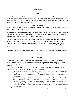#### **ACTIVITIES**

#### **Fees**

Activity fees cannot be refunded unless a student must discontinue an activity due to medical reasons, or if arrangements have been made with the principal or the district activities director. A student will not be denied the opportunity to participate because they are not able to pay the activity fee. Please contact the principal if you need to have the fee waived.

#### **Code of Conduct**

Fremont County School District #1 recognizes that participation in athletics and co-curricular activities is a "**privilege**" not a "**right**".

Students who volunteer to participate in the Fremont County School District #1 athletic or co-curricular activity programs do so with the understanding that they must observe some regulations that are more restrictive than those relating to the general student community.

This policy applies to students who participate in athletics or co-curricular activities, and is in effect during the entire calendar year. This policy is in addition to the current District Student Discipline and Conduct Policy. Suspensions from activities may or may not prevent a student from taking part in practice sessions. Students who are suspended will not suit up with the team, nor will they be allowed to travel.

The CODE shall apply for those athletic teams, co-curricular activities that require participation on an interscholastic level and/or exceed normal classroom requirements.

### **Activity Eligibility**

**The LMS CODE OF CONDUCT and ELIGIBILITY REQUIREMENTS will apply to all students** currently participating or who will participate in athletics or co-curricular activities, and is in effect during **the entire school year plus at times during the year in which students are involved in school-sponsored activities.**

LANDER MIDDLE SCHOOL HAS THE FOLLOWING ADDITIONAL EXPECTATIONS REGARDING ACADEMIC ACHIEVEMENT, BEHAVIOR, AND ATTENDANCE:

- ✓ The activity program is an extension of the curriculum and the student's academic experience. Participation in the activity program is a privilege and not a right.
- $\checkmark$  Students must maintain a minimum grade of "C" in at least (5) classes. Weekly eligibility checks will be conducted.

If an activity participant falls below the 5 "C" requirement, he/she will receive a B.A.G. sheet (**B**ehavior, **A**ttendance, **G**rades). This sheet will allow documentation of the class with a below "C". The activity participant must then visit that/those classroom teacher(s) and make arrangements to bring the grade up to the requirement, verified by the classroom teacher's signature. Completion of the B.A.G. sheet must be done before the activity participant can compete in the next scheduled activity or contest.

 $\checkmark$  Activity participants must be in attendance the day of an activity. For an absent student to participate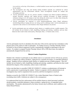in an activity on the day of the absence, a verified medical excuse must be provided for the absence by the student.

- ✓ The investigation into drug and alcohol related incidents typically are conducted by school administrators and law enforcement officials. These investigations include on- campus and off-campus activities.
- ✓ Activity participants may not use, possess, transfer, or disperse any tobacco products (defined to include electronic cigarettes and vaping devices), alcoholic beverages, or illegal controlled substances (drugs) on or off campus at any time during the school year or at other times during the year in which students are involved in school-sponsored activities.
- ✓ Activity participants are expected to avoid situations/gatherings where illegal substances (alcohol/drugs/tobacco/vaping devices) are being used by underage youth. Activity participants are expected to take actions to avoid situations where illegal substances are present.
- ✓ Activity participants may not confiscate (steal), destroy, or vandalize private or public property. This will include, but not limited to, theft, shoplifting, breaking and entering, vandalism, and any other behaviors that would violate school policy, Municipal, State, or Federal codes or laws.

#### **Attendance**

Activity participants must be in attendance the entire day of the activity and must be in attendance at the practice prior to the contest in order to participate. If a student receives a Tuesday/Thursday School, In-School or Out-of-School suspension, he/she is automatically ineligible to participate in the next contest. If a student is assigned Tuesday/Thursday School, ISS or OSS three times, the student is automatically dropped from the activity.

#### **District Conduct Regulations**

Students who volunteer to participate on any athletic team or co-curricular activity will not use, possess, transfer, or disperse any tobacco products, vaping devices, alcoholic beverages, or controlled substances (drugs). Students will not confiscate (steal), destroy or vandalize private or public property. This will include, but not limited to, theft, shoplifting, breaking and entering, vandalism, and behaviors that would diminish the integrity of the community, school, team or individual.

In the event that there is a possible CODE OF CONDUCT violation, an administrator will attempt to notify a parent prior to questioning the student. Failure to cooperate with the administration in an investigation may result in suspension from an activity until the investigation is resolved.

Students covered by the CODE OF CONDUCT who violate Municipal, State or Federal codes (excluding minor traffic violations) are subject to the consequences.

It is understood that local law enforcement will be notified whenever school personnel confiscate alcohol products, controlled substances, tobacco products, vaping devices, or suspended stolen merchandise. The penalty administered by the Justice System may be different, and in addition to the School Board Policies.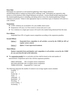### **Party Rule**

Participants are expected to avoid situations/gatherings where illegal substances (alcohol/drugs/tobacco/vaping) are being used by underage youth. Participants are expected to take actions to avoid situations where illegal substances are present. Actions should include inquiring about the situation/gathering prior to attending, and taking action to leave the situation/gathering if illegal substances are present. Failure to take appropriate steps to avoid these types of situations will result in a code violation.

#### **Suspensions**

- $\vee$  CODE violations are accumulative for your middle school career.
- $\triangleright$  Suspensions will carry over from season to season and year to year.
- $\triangleright$  Two violations in a single sport season will result in the student being dismissed from the team.

#### **First Offense**

Suspended from 30% of regular season competition according to the suspension penalties.

#### **Second Offense**

| Option 1: | Suspended from competition in all activities covered by the CODE for 60% of<br>regular season contests |
|-----------|--------------------------------------------------------------------------------------------------------|
| Option 2: | <b>Option 1 Court supervised treatment.</b>                                                            |

#### **Third Offense**

*Student suspended from participation and competition in all activities covered by the CODE for one year from the date of the infraction.*

❖ The *suspension penalty* for co-curricular activities shall be based on the total number of interscholastic competitions and in line with the suspension penalties.

FIRST OFFENSE: 30% of regular season competition SECOND OFFENSE: 60% of regular season competition THIRD OFFENSE: Suspended for 1 (one) year

The following represents the number of contests in an average regular season schedule:

Football  $-7$  $Golf - 3$ Nordic Ski – 2  $Track - 7$ Volleyball – 15 Basketball – 15 Wrestling  $-9$  $Cross Country - 7$ Swimming  $-7$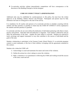❖ Co-curricular activities without interscholastic competitions will have consequences at the discretion of the Building Principal or his/her designee.

#### **CODE OF CONDUCT POLICY ADMINISTRATION**

Additional rules may be established by coaches/sponsors to this policy, but must have the written approval of the Building Athletic Director and Principal. Participants and parents must be fully informed of all rules in writing prior to the start of the activity.

It is mandatory for all coaches and sponsors of co-curricular activities to schedule a meeting with the students and their parent(s) or guardian at which time the CODE OF CONDUCT will be explained to the students and their parent(s) or guardian.

Co-curricular activities do not exist without the dedication of individuals partnering with others to learn, practice and perform. Individual skill and dedication is important. Each student is affected by and can affect the performance of the team – together the team suffers or succeeds. Students are expected to teach, encourage and support teammates in ways that contribute to the success of individuals and the goals of the team.

Students volunteering to participate in the Fremont County School District #1 co-curricular programs commit to assist teammates, to the best of their abilities, in keeping with the agreements contained in this contract.

Students who violate the CODE will:

- 1) Acknowledge to coach and teammates the nature and extent of the violation;
- 2) Outline the actions he or she is taking to correct the violation;
- 3) Make a statement or re-commitment to following the CODE and working toward the success of the team, coach and self.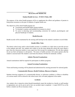# **HEALTH AND MEDICINE**

#### **Student Health Services - FCSD #1 Policy JHC**

The purpose of the school health program will be to supplement the efforts and guidance of parents to bring about awareness on the part of students of regular health care.

The objectives of the school health program are:

- To promote good health habits among students.
- To stimulate a sanitary and healthful environment in school.
- To assist in detecting and recommending correction for medical, psychological, and physical handicaps of students.

#### **Health Records**

Health records will be maintained by the nursing staff and kept in the student's cumulative record folder.

### **Health Office Visits**

The district school nurse and/or school health secretary is available on a daily basis to provide services to the students and staff. Any student who wishes to see the nurse during the school day must obtain a pass from the classroom teacher or area supervisor first (except for emergencies). We ask that students do not use their cell phones to call parents. The nurse or health secretary will contact parents after the student is assessed and if the student is sent home the absence will then be medically verified.

### **Athletic Physical Examinations**

Annual examinations shall be required for participants in athletic programs.

### **Annual Screening Examinations**

Vision and hearing screening will be planned and administered by nursing personnel for selected grades.

### **Communicable Diseases, Health Problems, Illnesses & Injuries**

Students showing symptoms of a communicable disease, or infectious condition, or illness or disability of a serious nature will be referred to the school nurse who will make judgment in the matter.

### **Accidents**

Any student who is injured at school should immediately report the incident to a faculty or staff member so appropriate care can be given and to have an accident report completed. A report MUST be on file before a student can file an insurance claim.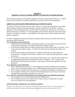# **Appendix A FREMONT COUNTY SCHOOL DISTRICT #1 POLICIES AND PROCEDURES**

The following are policies and procedures adopted by Fremont County School District #1. Complete policies may be found on our website, landerschools.org under About Us/Governing Board.

# **ABSENCES AND EXCUSES PROCEDURES (K-8 STUDENTS) (JE-R)**

The Board of Trustees of Fremont County School District #1 accepts the responsibility of providing district students with the best possible education. Regular attendance by all students is of prime importance in the educational process and their ability to maximize the effectiveness of the school's educational program. Therefore, it is the responsibility of the student to attend all classes and to keep absences to an absolute minimum. Accountability for all absences lays with the student and his/her parents or guardians.

In order to adequately document and respond to frequent student absences and tardies the following procedures shall be followed:

# Tier 1 BUILDING LEVEL PROCESS

- 1. Student Services Secretary (SSS) calls parent/guardian on all unverified absences and tardies and records the information in the student data system (Infinite Campus).
- 2. At the third unverified absence or fifth unverified tardy, the SSS sends a letter to the Parent. This is generated from Infinite Campus. The SSS also informs the principal that the student is of concern.
- 3. At the fourth and fifth unverified absence or eighth and ninth tardy, the SSS informs the Principal and or a designee (social worker, counselor, etc.) contact the parent/guardian to explain the concerns.
- 4. At the sixth unverified absence or the tenth unverified tardy, Form 1 from the District Share File is completed and submitted to the Dropout Prevention Coordinator. Form 1 (found on the BIT-RTI Share file) documents the specifics of the contact with the parent/guardian and child. See JED-E

# Tier 2 DISTRICT LEVEL PROCESS

- 1. When a building submits the Form 1 to the Dropout Prevention Coordinator, the Coordinator sends a letter to the parent/guardian with a SARB (Student Attendance Review Board) invitation
- 2. The Coordinator completes the referral process to the SARB and establishes meeting time(s).
- 3. The Coordinator determines the need for the BIT (Building Intervention Team) involvement based upon the extenuating circumstances of each case.

# Tier 3 COUNTY ATTORNEY, DEPARTMENT OF FAMILY SERVICES REFERRAL PROCESS

- 1. The Coordinator reviews the documents from the SARB process.
- 2. The Coordinator presents case material to the County Attorney or Department of Family Services for legal action when appropriate.

# **ADMINISTERING MEDICINE TO STUDENTS (JHCD)**

Except as provided herein, it is the policy of Fremont County School District #1 that absolutely no medication, internal or external, including acetaminophen and other over-the-counter (OTC)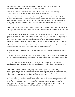medications, shall be dispensed or administered by any school personnel except medication administered in accordance with established school regulations.

When school personnel administer medication to a student during school hours or during school-sponsored activities, the following procedures must be followed:

1. Signed, written request of the parent/guardian and signed, written instructions by the student's physician or dentist will be on file with the school before any prescription medication is administered. Once the signed written request is received it will be honored until revoked by physician, parent, or school nurse, or if there is a change in the prescription, including medication, dosage, or time of administration.

2. The instructions for prescription medications shall include the name of student, name of medication, form of the medication (e.g., liquid or capsule), dosage, frequency, duration, and condition for which the medication is prescribed.

3. Prescriptions and non-prescription medication must be brought to school in the original container. The container for prescription medication must be labeled with the following information: Student's name, physician's name, name of medication, dosage, time to be given, date the prescription was filled, side effects of the medication, contraindications (significant conditions that make administration inadvisable), physical description of the medication, and whether the medication requires refrigeration.

4. All medications must be submitted to the school's nurse, health secretary, principal, or administrative assistant and will be kept in a secure location, out of the reach of children.

5. Medications shall be dispensed only by the school nurses or their designees and only according to dosage instructions.

6. With the exception of injection of epinephrine or glucagon in an emergency, unlicensed personnel may only administer medication by mouth, nose, eye, or ear, and may apply topical medications to the skin. Unlicensed personnel may also administer inhaled medications.

7. All personnel who will administer medications must receive annual instruction for how to administer the type(s) of medications they may administer prior to being allowed to administer the medications.

8. The school shall keep appropriate records of all medications administered at school or on school-sponsored trips. The records shall include the drug and dosage given, route of administration (e.g., orally, injected, external, eye drops, ear drops, etc.), date and time drug was dispensed, name of the student, and the signature of the person administering the medication.

9. The following OTC medications shall be stocked by each school: ibuprofen, acetaminophen, and diphenhydramine. These medications may be in generic or name brand form and will be dispensed per the assessment of the school nurse or delegate, provided a standing order from a physician for OTC medication administration is on file. Parental consent must be on file in order for a student to receive any OTC medication. The medications will be dosed based on weight and/or age.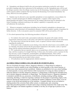10. Epinephrine and albuterol shall be the only prescription medications stocked by each school, provided a standing order from a physician for the medication is on file. Epinephrine pens will be used for allergic reactions where the allergic reaction may be life threatening. Albuterol (inhaler or nebulizer) will be used for asthma symptoms that may become life threatening if not treated immediately. See Policy JHCD-EA for more guidance.

11. Students may be allowed to carry injectable epinephrine to treat anaphylaxis, rescue inhalers for asthma, or insulin and glucagon for diabetes management. A signed, written request of the parent/guardian and signed, written instructions by the student's physician must be submitted to the school, including a statement testifying to the student's capability to responsibly carry and self-administer the medication.

12. Whenever emergency medications (including, but not limited to epinephrine or glucagon) are administered, school personnel will immediately attempt to contact the student's parents or guardians for further direction. In the event parents cannot be contacted, EMS will be activated by a 911 call.

13. For school-sponsored trips, the following procedures will prevail:

a. For students who need to take a prescription medication, the parent will comply with the requirements stated previously in this policy and submit the required information to the school nurse. b. The school nurse will provide the teacher, coach, or sponsor with the written information regarding the medication.

c. If the need to take a medication occurs during a time when the school nurse is not available, such as a Saturday, the parent will provide the prescription medication to the teacher, coach, or sponsor along with the required information identified in #2 and #3.

d. OTC medications that are typically taken on an as-needed basis will not be administered on field trips, with the exception of overnight field trips. In these cases, the teacher, coach, or sponsor for the trip will carry a stock of ibuprofen, acetaminophen, and diphenhydramine. These will be administered only by trained school personnel according to package directions and only to students whose parent/guardian has provided written consent.

e. All medications must be inappropriately labeled containers.

# **ALCOHOL/TOBACCO/DRUG USE AND ABUSE BY STUDENTS (JICG)**

The use of alcoholic beverages, tobacco, dangerous substances, or illegal drugs by students or possession of such by students in any school building, on school grounds, at any school function, or while on any school-sponsored trip is prohibited. Students are prohibited to be in any school building, on school grounds, or at any school function while in possession of or using any tobacco product or under the influence of alcohol, dangerous substances, or illegal drugs or following the immediate prior use of alcohol, dangerous substances, or illegal drugs. The reference herein to "dangerous substances" is intended to prohibit the use, possession, or distribution, including smoking, huffing, inhaling, consuming, absorbing, or otherwise ingesting a substance for the purpose of generating a high or rush, otherwise altering the mental processes or impairing the student's judgment or motor skills, or for use contrary to the lawful and intended use of the substance. Examples include, but are not limited to: inhaling products like correction fluid, rubber cement, or airplane glue; and, consuming larger-than-prescribed quantities of alcohol and/or drugs containing medications like cough syrup. This policy shall apply to all students regardless of whether or not they are of legal age to possess or use tobacco.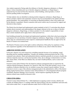Any student suspected of being under the influence of alcohol, dangerous substances, or illegal drugs or whose immediate prior use of alcohol, dangerous substances, or illegal drugs is suspected may be removed from the classroom, school building, school grounds, or school function pending further investigation.

To help students who are identified as abusing alcohol, dangerous substances, illegal drugs, or tobacco products, District and community resources may be recommended to the student and their parents/guardians. The responsibility of correcting an identified problem is that of the student and his/her parents or guardians. District counselors and social workers may be accessed for support and direction in these matters.

The District has developed and implemented content standards in the K-12 curriculum that educate students about awareness and understanding of the dangers inherent in the use or abuse of alcohol, dangerous substances, illegal drugs, or tobacco products. It is the student's responsibility to learn these content standards and to apply them to their personal lives.

Each building principal has developed and implemented regulations within their school governing the consequences for use and abuse of alcohol, dangerous substances, illegal drugs, or tobacco products. These rules are communicated in their respective student/parent handbooks that are approved by the Board of Trustees on an annual basis.

The Board of Trustees reserves the right to enforce infractions of this policy by expulsion or long term suspension regardless of the determined level of offense at any school within the district.

# **ASBESTOS NOTIFICATION**

In the past, asbestos was used extensively in building materials because of its insulating, sound absorbing and fire retarding capabilities. Virtually any building constructed before the late 1970s contained some asbestos. Intact and undisturbed asbestos materials generally do not pose a health risk. Asbestos materials, however, can become hazardous when, due to damage or deterioration over time, they release fibers. If the fibers are inhaled, they can lead to health problems, such as cancer and asbestosis.

Fremont County School District One developed an asbestos management plan as required by the Asbestos Hazard Emergency Response Act, passed in 1986. Part of the plan includes a survey of the condition of asbestos materials every six months to assure they remain in good condition. You are welcome to review a copy of the asbestos management plan in the administrative office of the district during regular business hours. Fremont County School District #1 is the designated asbestos program coordinator, Business Manager Travis Sweeney, and all inquiries regarding the plan and asbestos-related issues should be directed to him.

### **CHILD FIND (IHBA)**

Fremont County School District No. 1 shall implement an ongoing system to locate, identify and evaluate all children birth to 21 residing within the School District who have disabilities and need early intervention under Part C or special education under Part B of IDEA (the Act).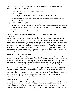The School District shall identify all children with disabilities regardless of the severity of their disability, including children who are:

- 1. Highly mobile, such as migrant and homeless children;
- 2. Wards of the State;
- 3. Suspected of having a disability even though they advance from grade to grade;
- 4. Home schooled;
- 5. Attending a private (religious or secular) school located within the boundaries of the school district or public agency;
- 6. Attending a charter or virtual school;
- 7. Below the age of compulsory school attendance;
- 8. Above the age of compulsory school attendance who have not graduated from high school with a regular diploma and have not completed the school year in which they reach their twenty-first birthday; or
- 9. Dropped out or disenrolled from public or private school.

# **CHILDREN'S ONLINE PRIVACY PROTECTION ACT (COPPA) STATEMENT**

The District uses a number of Internet-based subscriptions and services to offer online programs for the benefit of students and the school system. Examples of such services include, but are not limited to, communications and data storage regarding student test scores, grades, progress through curriculum content, and academic planning. The District requires that the service provider assure the school that it has in place a procedure or security system to maintain the confidentiality of any personal information that the service provider could have access to. Because these services or programs will necessitate giving access to student personal information to the Internet or Web site operators that host or facilitate these programs, the parent consents to allow the school to represent that it has parental permission for this. Your signed return of this handbook shall be considered permission.

# **DIRECTORY INFORMATION (JO-R)**

Fremont County School District #1, State of Wyoming, may disclose directory information without written consent of the parent, eligible students, or guardian. The parent, eligible student, or guardian has the right to refuse to permit the designation of any or all of the categories of information provided refusal is received in writing in the office of the principal of the school where the student is in attendance no later than September 7, or the following Monday of September 7 is Saturday or Sunday.

Directory information which may be released may include the name and address, parent or guardian telephone listing, date and place of birth, participation in officially-recognized activities and sports, weight and height for members of athletic teams, dates of attendance, degrees (diplomas) and awards received, the most recent previous educational agency or institution attended by the student, personally identifiable photographs, videotapes, films and other visual media, and personally identifiable interviews, either audio only or audio and visual.

# **NON-DISCRIMINATION STATEMENT (AC)**

Fremont County School District #1 does not discriminate on the basis of actual or perceived age, race, color, religion, national origin, sex, sexual orientation, gender identity, veteran status, marital status, pregnancy, or disability. This policy should prevail in all matters concerning staff, students, education programs and services and individuals with whom the school district does business. FCSD#1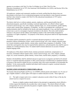operates in accordance with Title VI of the Civil Rights Act of 1964, Title IX of the Education Amendment Act of 1972, the Americans with Disabilities Act (ADA), and Section 504 of the Rehabilitation Act of 1973.

All employees, students and community members are hereby notified that this district does not discriminate on the basis of sex in educational programs receiving federal or state financial assistance and that it does intend to comply with Title IX of the educational amendments of 1972 and as subsequently amended.

The district shall strive to inform students, parents, employees, and the general public that all educational programs, specifically including vocational opportunities, are offered without regard to actual or perceived age, race, color, religion, national origin, sex, sexual orientation, gender identity, veteran status, marital status, pregnancy, or disability. In order to accomplish this a statement of nondiscrimination shall be included in the faculty and student handbooks, if any, and shall be published at least once a year in a newspaper of general circulation in the district. The notice shall include a reference to the person and the address and telephone number of the staff member designated to coordinate civil rights compliance. For purposes of this district, that person shall be the Superintendent of Schools.

All students shall be permitted to enroll in vocational education programs as well as other school programs without consideration of their actual or perceived age, race, color, religion, national origin, sex, sexual orientation, gender identity, veteran status, marital status, pregnancy, or disability. To the extent that a prerequisite class may be required before admission, such prerequisite class shall be open to students on a nondiscriminatory basis. No student shall be denied admission on account of limited English language skills.

All employees of this district shall be hired, retained, promoted, transferred, compensated or, if necessary, terminated without regard to their actual or perceived age, race, color, religion, national origin, sex, sexual orientation, gender identity, veteran status, marital status, pregnancy, or disability.

Students with disabilities shall be admitted and given equal access to programs and shall not be denied access to vocational education programs or other courses because of architectural or equipment barriers or because of the need for related services or auxiliary aids to the extent reasonable to accommodate the disabled. To the extent possible, disabled individuals shall be placed in regular vocational education programs and education courses.

# **NOTIFICATION OF RIGHTS UNDER FERPA (JRA-E)**

The Family Educational Rights and Privacy Act (FERPA) affords parents and students over 18 years of age ("eligible students") certain rights with respect to student education records. These rights are:

(1) The right to inspect and review a student's education records within 45 days of the day the school receives a request for access.

 Parents or eligible students should submit to the principal (or appropriate school official) a written request that identifies the record(s) they wish to inspect. The school official will make arrangements for access and notify the parent or eligible student of the time and place where the records may be inspected.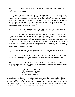(2) The right to request the amendment of a student's educational records that the parent or eligible student believes are inaccurate, misleading, or otherwise in violation of the student's privacy rights under FERPA.

Parents or eligible students who wish to ask the school to amend a record should write the school's principal (or appropriate school official), clearly identify the part of the record they want changed, and specify why it should be changed. If the school decides not to amend the record as requested by the parent or eligible student, the school will notify the parent or eligible student of the decision and advise him/her of the right to a hearing regarding the request for amendment. Additional information regarding the hearing procedures will be provided to the parent or eligible student when notified of the right to a hearing.

(3) The right to consent to disclosures of personally identifiable information contained in the student's education records, except to the extent that FERPA authorizes disclosure without consent.

 One exception, which permits disclosure without consent, is disclosure to school officials with legitimate educational interests. A school official is a person employed by the school as an administrator, supervisor, instructor, or support staff member (including health or medical staff and law enforcement unit personnel); a person serving on the School Board; a person or company with whom the school has contracted as its agent to provide a service instead of using its own employees or officials (such as an attorney, auditor, medical consultant, or therapist); or a parent or student serving on an official committee, such as a disciplinary or grievance committee, or assisting another school official in performing his or her tasks.

A school official has a legitimate educational interest if the official needs to review an education record in order to fulfill his or her professional responsibility.

 Upon request, the school discloses education records, including disciplinary records relating to suspension and expulsion, without consent to officials of another school district in which a student seeks or intends to enroll.

(4) The right to file a complaint with the U.S. Department of Education concerning alleged failures by the School District to comply with the requirements of FERPA. The name and address of the office that administers FERPA are:

> Family Policy Compliance Office U.S. Department of Education 400 Maryland Avenue, SW Washington, DC 20202-5920

Fremont County School District 1 will make available to the public directory information which has been previously published pertaining to students in Fremont County School District 1. Directory information includes the following: Student name, participation in officially-recognized activities and sports, weight and height for members of athletic teams, dates of attendance, degrees (diplomas) and awards received, the most recent previous educational agency or institution attended by the student,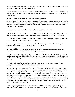personally identifiable photographs, videotapes, films and other visual media, and personally identifiable interviews, either audio only or audio and visual.

Any parent or eligible student who is unwilling to allow the above-described directory information to be released must notify the Office of the Superintendent within fifteen (15) days from the date of notice of FERPA rights.

# **HARASSMENT, INTIMIDATION AND BULLYING (JICFA)**

Fremont County School District #1 supports a secure school climate, conducive to teaching and learning that is free from threat, harassment, and any type of bullying behavior. Students and staff shall conduct themselves according to the rules and policies of the school district, and shall conduct themselves in a respectful manner toward others.

Harassment, intimidation or bullying of or by students at school is prohibited.

Harassment, intimidation or bullying means any intentional gesture or any intentional written, verbal or physical act that a reasonable person under the circumstances should know will have the effect of:

1. Harming a person physically or emotionally, damaging a person=s property or placing a person in reasonable fear of personal harm or property damage;

2. Insulting or demeaning a person or group of students causing substantial disruption in, or substantial interference with, the orderly operation of school; or

3. Is so sufficiently severe, persistent or pervasive that it creates an intimidating, threatening or abusive educational environment for a person or group of students.

A school as used in this policy includes a classroom or other location on school premises, a school bus or other school related vehicle, a school bus stop, an activity or event sponsored by a school, whether or not it is held on school premises, and any other program or function where the school is responsible for the child.

"Written" acts include, but are not limited to handwritten or typed communications, e-mails, text messages, blogs and other forms of electronic communications.

Persons who witness or are a victim of harassment, intimidation or bullying shall report that conduct to a teacher, principal, or other school staff member as soon as possible. If the complaining person chooses not to file a written report, the staff member shall ask the person to verbally describe the incident, including the information described above. The staff member who receives the complaint shall request that the person make a written report describing the conduct they witnessed, including but not limited to the date, time and location of the incident, and the names of the persons involved, to the extent possible. The staff member shall then forward that information in writing, including the person's written report, if any, to the building principal, who shall promptly investigate the complaint, or designate another staff member to investigate the complaint.

Persons may anonymously report any harassment, intimidation or bullying. Anyone making or receiving an anonymous report shall provide or collect as much information as possible, including but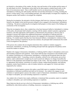not limited to a description of the conduct, the date, time and location of the incident and the names of the individuals involved. Disciplinary action shall not be taken against a student based solely on the basis of an anonymous report. Once a staff member receives an anonymous report of harassment, intimidation or bullying, the staff member shall then forward that information in writing, including the person's written report, if any, to the building principal, who shall promptly investigate the complaint, or designate another staff member to investigate the complaint.

During the investigation, the principal or his/her designee shall interview witnesses, including, but not limited to the alleged victim and the person(s) alleged to have engaged in the harassment, intimidation or bullying. The person conducting the investigation shall prepare a written report of the findings and conclusions of the investigation.

When the investigation shows, that a student has or has been harassed, bullied or intimidated in violation of this policy, the principal shall schedule a meeting with the student, student's parent(s), appropriate teacher(s), and other appropriate staff members as determined by the principal, to discuss steps or strategies to protect that student from additional harassment, intimidation or bullying and from retaliation, including discipline against the person who engaged in the harassment, intimidation, or bullying. If a student reports that they have been harassed, bullied, or intimidated in violation of this policy and no meeting is required by the previous sentence, the principal shall communicate the results of the investigation to the parent(s).

If the person who conducts the investigation determines that a student or students engaged in harassment, intimidation, or bullying, the building principal shall take appropriate disciplinary action toward the student or students.

Students who engage in harassment, intimidation, or bullying shall be subject to disciplinary action up to and including suspension and expulsion. Each school shall develop consequences and remedial action for students committing acts of harassment, intimidation, or bullying and incorporate them into their student discipline rubric. Counseling, corrective discipline, referral to law enforcement, proven best practice, and/or administrative insight may be used to positively influence (or change if possible) the behavior of the perpetrator and remediate the impact on the victim. This may include, but is not limited to, appropriate interventions, restoration of a positive climate, student-based programs, anti-bullying programs, mentor based initiatives, code-of-conduct initiatives, and support for victims and others impacted by the violation.

Retaliation or reprisal against a person who makes a good faith report or complaint of harassment, intimidation or bullying is prohibited and shall not be tolerated. Any student who engages in such retaliation or reprisal against a person who makes a report of harassment, intimidation or bullying shall be subject to discipline, up to and including suspension or expulsion.

Any student who is found to have made a deliberate or intentional false accusation, report or complaint is subject to discipline, up to and including suspension or expulsion.

Many behaviors that do not rise to the level of harassment, intimidation, or bullying may still be prohibited by other district policies or building, classroom, or program rules.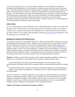At the start of each school year, every school shall be required to review the district's harassment, intimidation and bullying policy with the students in a manner consistent with their age and education level. This policy shall be included in the student manual or handbook and shall also be available to the public on the school district's website in a manner to be determined by the superintendent and/or his designee. The school shall provide copies of the anti-bullying policy to parents in a manner and method to be determined by each principal, which may include distribution of the student handbook to parents. The school district shall incorporate training and education on this policy in its professional development programs and the policy shall be provided to volunteers and other non certified employees of the district who have significant contact with students.

# **SAFE 2 TELL**

If you are experiencing or witnessing bullying, contact LMS administration or submit a tip to Safe 2 Tell Wyoming. Safe 2 Tell Wyoming is a statewide reporting system for students, parents, and community members and is a completely anonymous and confidential way to report concerns about your safety or the safety of others. You can submit a plan through the website (<http://safe2tell.org>), through Safe 2 Tell Wyoming app or call 1-844-996-7233.

# **HOMELESS ASSISTANCE NOTICE (JLG)**

It is the policy of Fremont County School District No. 1 that every child will have equal access to a free and appropriate public education (FAPE). Children who are homeless have the same rights to FAPE as do other children, and the District is committed to assuring that those rights are fully protected and honored. Any person or agency who is aware of any child of school age who meets the definition of a homeless student, or in the event of the enrollment of a student who meets the definition of a homeless student, the person, agency, or principal of the school where the student may be enrolled is requested to inform the District's Homeless Liaison. The Homeless Liaison will respond to the referral to assist in developing an action plan to provide the students with a free appropriate public education.

**Homeless** is defined as an individual who lacks a fixed, regular and adequate nighttime residence and includes, but is not limited to, an individual who has a primary nighttime residence that is:

a supervised publicly or privately operated shelter designed to provide temporary living accommodations (including welfare hotels, congregate shelters, and transitional housing for the mentally ill);

an institution that provides a temporary residence for individuals intended to be institutionalized; or

· a public or private place not designed for, or ordinarily used as, a regular sleeping accommodation for human beings.

The terms "homeless" or "homeless individual" do not include any individual imprisoned or otherwise detained. In determining whether a child or youth is homeless, the relative permanence of the living arrangements should be considered. Determinations will be made on a case-by-case basis. In general, children or youth living in welfare hotels, transitional housing shelters, the streets, cars, abandoned buildings and other inadequate accommodations will be considered homeless.

### **Children and Youth in Transitional or Emergency Shelters**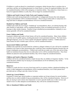If children or youth are placed in a transitional or emergency shelter because there is nowhere else to send them, and they are awaiting placement in a foster home or a home for neglected children, they will be considered homeless while in the emergency or transition shelter. Once placed in a foster home or a home for neglected children or youth, they will no longer be considered homeless.

## **Children and Youth Living in Trailer Parks and Camping Grounds**

Children and youth staying temporarily in trailer parks or campgrounds because they lack adequate living accommodations will be considered homeless. Those living in trailer parks or camp areas on a long-term basis in adequate accommodations will not be considered homeless.

# **Doubled-Up Children and Youth**

Children and youth who are living in "doubled-up" accommodations, that is, are sharing housing with other families or individuals, will be considered homeless if they are doubled-up because of a loss of housing or other similar situation. Families living in doubled-up accommodations voluntarily to save money generally will not be considered homeless.

# **Foster Children and Youth**

In general, children and youth in foster homes will not be considered homeless. Many foster children are in the care of a public agency, awaiting placement in more permanent situations. The foster home, although temporary, serves as a fixed, regular and adequate nighttime residence. Children placed in foster homes for lack of shelter space, however, will be considered homeless.

# **Incarcerated Children and Youth**

Children and youth that are incarcerated for violation or alleged violation of a law will not be considered homeless even if prior to their incarceration they would have been considered homeless because they are living in inadequate accommodations. Children and youth that are under care of the state and are being held in an institution because they have no other place to live will be considered homeless. Once these children are placed in more permanent facilities, they will no longer be considered homeless.

# **Children and Youth in Migratory Families**

Children will not be considered homeless simply because they are children of migratory families. To the extent that these children may be staying in accommodations not fit for habitation, they will be considered homeless.

### **Runaways**

Children or youth who have run away from home and live in runaway shelters, abandoned buildings, the street, or other inadequate accommodations will be considered homeless, even if their parents have provided and are willing to provide a home for them.

### **School-Age, Unwed Mothers**

In general, if school-age, unwed mothers or expectant mothers are living in homes for unwed mothers, and they have no other available living accommodations, they will be considered homeless. However, if they are staying in such a home only temporarily to receive specific health care or other services and intend to move to other adequate accommodations, they will not be considered homeless.

### **Sick or Abandoned Children and Youth**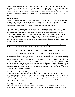There are instances where children and youth remain in a hospital beyond the time that they would normally stay for health reasons because their families have abandoned them. These children and youth will be considered homeless because they have no other place to live. Children and youth who were homeless prior to hospitalization will be considered to be homeless while they are in the hospital, unless regular and adequate living accommodations will be made available to them upon release from the hospital.

#### **Dispute Resolution**

If a dispute arises over any issue covered in this policy, the child or youth in transition will be admitted immediately to the school in which enrollment is being sought, pending final resolution of the dispute. The student will also have the rights of a student in transition to all appropriate educational services, transportation, free meals, and Title 1, Part A, services while the dispute is pending.

The school where the dispute arises will provide the parent or unaccompanied youth with a written and/or oral explanation of its decision and the right to appeal and will refer the parent or youth to the local liaison immediately. The local liaison will ensure that the student is enrolled in the requested school and receiving services to which he or she is entitled and will resolve the dispute as expeditiously as possible. The parent or unaccompanied youth will be given every opportunity to participate meaningfully in the resolution of the dispute. The local liaison will keep records of all disputes in order to determine whether particular issues or schools are delaying or denying the enrollment of children and youth in transition repeatedly.

The parent, unaccompanied youth, or other school district may appeal the school district's decision as provided in the Wyoming Department of Education's dispute resolution process.

### **STUDENT NETWORK AND INTERNET ACCEPTABLE USE AGREEMENT (IIBF-E)**

### **FCSD #1 STUDENT NETWORK & INTERNET ACCEPTABLE USE AGREEMENT**

Fremont County School District #1 strongly believes in the educational value of the Internet and other online information resources. They can increase the power of curriculum content standards, enable exciting collaborations, increase productivity, and improve student learning. Resources provided by the Internet and other media sources are important parts of the District's instructional program. These services are provided to promote educational excellence in schools, support our curriculum, and support individual academic needs. **Student use of District computers, networking, or applications constitutes acceptance of the conditions within this agreement as well as additional stipulations within the school's student handbook**.

#### **General Statement: Individual Responsibility of Parents and Users**

Even though filtering and other protection are in place on the District network, all users and their parents/guardians are advised that access may include the potential for access to materials inappropriate or offensive for school-aged pupils. All users are responsible for their use of technology resources and the Internet. The District does not accept responsibility for students accessing inappropriate content or acting contrary to this agreement.

#### **General Statement: No Expectation of Privacy**

Network and Internet access is provided as a tool for education. The District reserves the right to monitor, inspect, copy, review, and store at any time and without prior notice any and all usage of the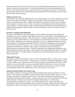district computer network and Internet access and any and all information transmitted, received, or stored in connection with such usage. All such content shall become and remain the property of the District, and no student shall have any expectation of privacy regarding such materials. The District may share such transmissions with the student's parents/guardians, law enforcement, and other entities that the District deems necessary.

#### **Student Account Usage**

Each student is given a unique identifying network account and password. These credentials are private and to be used only by that student. Students are responsible for their individual accounts and the actions on their network accounts. Students should take all reasonable precautions to prevent others from being able to use their account. Under no conditions should students provide their password to another student. If a student suspects her/his network account credentials have been compromised, the student should immediately inform a teacher or other staff member so action can be taken to protect her/his account.

#### **Internet Use Filtering and Monitoring**

To comply with federal law, the District employs several methods of Internet content filtering and monitoring. However, no Internet content filtering system can be fully effective in preventing access to harmful and inappropriate material. With global access to computers and people, there is a risk that students may access material that may not be considered to be of educational value in the context of the school setting. Students receive instruction, appropriate to their age, regarding strategies to avoid the inadvertent access of inappropriate material and what to do if they accidentally access such material. Users will not use District resources to view or otherwise gain access to potentially objectionable materials. This includes text materials, video, images, or sound files that may be considered objectionable in an educational setting. If students mistakenly access inappropriate information, they should immediately disclose this access to their teacher or other supervising staff member. If a student finds that other users are visiting offensive or harmful sites, she/he should report such use to her/his supervising teacher.

#### **Student File Storage**

All students, as part of their network account, are given storage space both on a school server as well as through an online service (see below). Storage space is set aside for educationally-appropriate content as well as student work. The District reserves the right to inspect any material stored in files to which users have access and will edit or remove any material which the district staff, in its sole discretion, believes may be objectionable. Music files, videos files taking a large amount of storage, and other non-educational material may be deleted at any time without notice to the student.

#### **Student Email and Offsite File Storage Usage**

All students in grades 6-12 are given private District-managed email accounts and network "cloud" storage. These accounts are available to students both at school and offsite (home, library, etc). These accounts are hosted by a third-party service chosen by the District and specifically geared toward educational users (Microsoft Live@Edu). Email accounts may at any time be monitored by authorized school and District staff and may be shared with district administration, law enforcement, parents/guardians, and others as necessary. If a student suspects her/her email account has been compromised, she/he should immediately inform a teacher or principal. Students should not delete any threatening or suspicious messages, but leave them as evidence for authorized personnel to evaluate.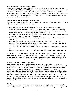## **Social Networking Usage and Website Posting**

The use of social networking and collaborative sharing sites is limited to District-approved online applications, such as Edmodo and Wikispaces. Student accounts in approved applications are monitored and managed. Students may be invited to participate in various publishing and Internet posting opportunities through the District (such as online video, newsletters, wiki editing). The use and sharing of such resources and information online will fall under expectations within this agreement as well as school-wide and District expectations.

## **Expectations Regarding Usage and Communication**

The same rules and expectations that students have regarding communication and interaction with peers and with staff apply to online communications.

- Students shall not access, post, publish, or display harmful or inappropriate matter that is threatening, obscene, disruptive, sexually explicit, educationally inappropriate, or that could be construed as harassment or disparagement of others based on their race/ethnicity, national origin, gender, sexual orientation, age, disability, religion, or political beliefs.
- Students shall not use the system to promote any activity prohibited by school or district policy, local law, state law, federal law, or Fremont #1 Board policy.
- Students shall not disrupt, vandalize, or modify any network equipment, software, or computer hardware.
- Students shall not interfere with the work of other users or violate the privacy of others.
- Students shall not knowingly introduce malware, worms, keyloggers, or other malicious software into the network or onto an individual computer.
- Students shall not download or install executable software without the direct approval of authorized staff.
- Students shall not attempt to compromise or bypass content filtering and other security measures.

Schools and/or teachers may impose other guidelines and rules in addition to those in this document. Disciplinary consequences for violation of this agreement may include classroom sanctions that are defined by teachers, and/or school-wide sanctions including limited or no access to technology at the school as well as other consequences deemed appropriate by school and/or District administration.

# **BYOD ("Bring Your Own Device") guidelines**

A growing number of students are bringing personal technology – such as Internet-connected smartphones, netbooks, and mobile PDAs – to use during the school day on the guest wireless network provided by the school. Devices that connect to the Fremont #1 guest wireless network are subject to the same usage expectations and rules as are District-owned devices, and also subject to additional limitations established by the teacher/school. The District takes no responsibility for any issue or loss arising from the use of personal devices. The District reserves the right to search any and all personal technology devices brought upon the school campus or to any school activity or on any school bus if in the judgment of the supervisor or administrator in charge there is a reasonable suspicion to believe it contains evidence of the violation of a District rule, policy, or state or federal law which could subject the student to discipline.

# **Opt-Out**

Due to the pervasive and immersive use of technology in our District, it has become impossible for students to "opt-out" of using Internet resources. In extraordinary situations, the parents and principal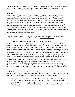can choose to limit some Internet access for a student, but exceptions will always be made for Internet access to testing, student email, and other educational applications that are required parts of our curriculum, daily classwork, and communication.

# **Disclaimer**

Fremont County School District #1 makes no warranties of any kind, whether expressed or implied, for the technology and Internet services it is providing. The District will not be responsible for any damages suffered by users, including loss of data resulting from delays, non-deliveries, incorrect deliveries, or service interruptions caused by its own negligence, user errors, omissions, or factors beyond the control of the District. Use of any information obtained via the Internet is at the user's own risk for the user's own purpose. The District specifically denies any responsibility for the accuracy or quality of information obtained through its Internet access. The district does not warrant that the functions of the system will meet any specific requirements or that it will be error-free or uninterrupted. The District shall not be liable for any direct or indirect, incidental, or consequential damages (including lost data, information, or monetary loss) sustained or incurred in connection with the use, operation, or inability to use any aspect of the system or service.

More information about each of these points may be found on the Fremont #1 Technology website. A link to our website is included on the District Website at [www.landerschools.org.](http://www.landerschools.org)

# **PARENT AND FAMILY ENGAGEMENT (TITLE I SCHOOLS) (KBDA)**

The Every Student Succeeds Act (ESSA) requires meaningful parent involvement in their children's education. ESSA requires that all school districts that receive Title I funds have a written parent and family engagement policy. This policy shall be developed jointly with and agreed upon by both educators and parents. The intent of this policy is to involve parents and family as partners in the process of school review and improvement, in activities to improve student academic achievement and school performance, and to have an integral role in assisting in their child's learning. Meaningful efforts will be made to ensure involvement of all parents, along with community members, including parents of students often needing supplemental assistance in order to attain proficient levels of achievement.

The District shall annually, by the end of September (or following the release of achievement data, if later), through a variety of communication avenues inform parents regarding the following: the status of District schools as it relates to the Elementary and Secondary Education Act (ESEA), "Every Student Succeeds Act" (ESSA), student achievement results and concerns, program and rights of parents to have meaningful involvement in the planning, review and improvement of the Title I program.

The District shall offer, in addition to an annual meeting, a flexible number of meetings at times determined most appropriate to gather parental involvement in developing, reviewing and evaluating on an ongoing basis this Parent and Family Engagement Policy. Parents shall be notified of:

- 1. their right to examine staff members' qualifications related to the ESSA requirement that parents of Title I students be allowed to request the qualifications of teachers and paraprofessionals providing services to their child (see policy GBJ);
- 2. their rights regarding their child's attendance site or participation in programs focused on school improvement;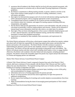- 3. assurances that all students in the District shall be involved with state-required assessment, with alternate assessments or exclusions only as allowed under Wyoming Department of Education guidelines;
- 4. the District's commitment to offering training annually, to parents, related to activities in the home which reinforce student progress in such areas as reading, mathematics, science, self-esteem, and others;
- 5. their right to be informed about progress and to be involved with decision-making regarding their child's educational program, and in a language appropriate to their circumstances;
- 6. Consolidated Grant resources available for use in parent activities including training, out-of-district school site visitations, and support for meeting expenses including child care, transportation, and supplies;
- 7. that the District shall provide opportunities for parents to meet individually with staff, at times as convenient as practicable, to discuss student progress and concerns. Parents will be informed of internet-based, secure information which they may retrieve, on a daily basis if so desired.
- 8. their right, if they are home-schooling parents, to have access to federally-funded programs such as Title I, Special Education, and staff development training, and that their children may participate in annual state-mandated assessments;
- 9. requirements as mandated by State standards, State assessments, and requirements for graduation.

The School District and parents will develop a school-parent compact that outlines how parents, students and school staff will share the responsibility for improving student achievement, and describes how parents and teachers will communicate. The School District will offer assistance to parents in understanding the education system and the state standards, and how to support their children in achievement. The District will provide materials and training to help parents work with children. The District will educate teachers and other school staff, including school leaders, in how to engage families effectively. The District will coordinate with other federal and state programs, including preschool programs. The District will provide reasonable support the parents may request and provide information in a format and language parents can understand.

District Title I Parent Advisory Council/School-Parent Compact

A District Title I Parent Advisory Council, composed of parents from each of the District's Title I schools, shall meet a minimum of twice annually with the District Title I Director and Title I staff to address the areas described below. The required meetings shall occur in October and May, following building-level meetings in September and April.

- 1. Review of present implementation progress and parent input, including a review of this policy and recommendations for changes, if necessary.
- 2. Information and review of training opportunities for parents and staff.
- 3. Review of current priorities and activities and an opportunity for input from parents for additional considerations.
- 4. Review reports from building-level meetings and consider adoption recommendations from those meetings.
- 5. Make recommendations having the intent of encouraging parent participation in Title I-related activities.

Building Level Parent Involvement/School-Parent Compact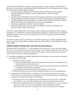Each Title I school shall have a committee composed of parents of Title I parents which shall meet a minimum of twice annually (September and April) with building Title I staff and administration. Among the responsibilities of each committee shall be:

- 1. providing support as appropriate for the school's parent conference activities including information gathering, registration, and other help to improve school-community communication;
- 2. providing input to the building's School-Parent Compact, particularly in areas related to parent training, instructional support in the home, and other topics focusing on student performance;
- 3. providing building-level recommendations to be taken to the District Title I Advisory Council, addressing the topics listed in that body's description of responsibilities;
- 4. involving, as appropriate, staff from "feeder" preschools.
- 5. outline how parents, the entire school staff, and students will share the responsibility for improved student academic achievement.

Each Title I school shall provide written progress reports to parents concerning their child's academic performance, on a regular basis, and shall schedule parent conferences a minimum of twice annually for individual sessions. In some instances, meetings may be held more frequently to address significant concerns or problems.

Of the Title I funds received by the District, not less than one percent (1%) shall be mandated to fund family engagement with the District sending at least ninety percent (90%) of those funds directly to the Title I school.

# **PARENTS RIGHT TO KNOW (SEC. 1112. [20 U.S.C. 6312], section (e))**

INFORMATION FOR PARENTS.— At the beginning of each school year, a local educational agency that receives funds under this part shall notify the parents of each student attending any school receiving funds under this part that the parents may request, and the agency will provide the parents on request (and in a timely manner), the following information:

- 1) Information regarding the professional qualifications of the student's classroom teachers, including at a minimum, the following:
	- i) Whether the student's teacher—
		- (1) has met State qualification and licensing criteria for the grade levels and subject areas in which the teacher provides instruction;
		- (2) is teaching under emergency or other provisional status through which State qualification or licensing criteria have been waived; and
		- (3) is teaching in the field of discipline of the certification of the teacher.
	- ii) Whether the child is provided services by paraprofessionals and, if so, their qualifications.
	- b) ADDITIONAL INFORMATION.—In addition to the information that parents may request, a school that receives funds under this part shall provide to each individual parent of a child who is a student in such school, with respect to such student
		- i) information on the level of achievement and academic growth of the student, if applicable and available, on each of the State academic assessments required under this part; and
		- ii) timely notice that the student has been assigned, or has been taught for 4 or more consecutive weeks by, a teacher who does not meet applicable State certification or licensure requirements at the grade level and subject area in which the teacher has been assigned.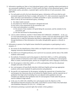- 2) Information regarding any State or local educational agency policy regarding student participation in any assessments mandated by section 1111(b)(2) and by the State or local educational agency, which shall include a policy, procedure, or parental right to opt the child out of such assessment, where applicable.
	- a) For each grade served by the local educational agency, information will be provided on each assessment required by the State to comply with section 1111, other assessments required by the State, and where such information is available and feasible to report, assessments required district-wide by the local educational agency, including
		- i) the subject matter assessed;
		- ii) the purpose for which the assessment is designed and used;
		- iii) the source of the requirement for the assessment; and
		- iv) where such information is available—
			- (1) the amount of time students will spend taking the assessment, and the schedule for the assessment; and
			- (2) the time and format for disseminating results.
	- b) LOCAL EDUCATIONAL AGENCY THAT DOES NOT OPERATE A WEBSITE.—In the case of a local educational agency that does not operate a website, such local educational agency shall determine how to make the information described in subparagraph (A) widely available, such as through distribution of that information to the media, through public agencies, or directly to parents.
- 3) Information to parents of an English learner identified for participation or participating in such a program, of
	- a) the reasons for the identification of their child as an English learner and in need of placement in a language instruction educational program;
	- b) the child's level of English proficiency, how such level was assessed, and the status of the child's academic achievement;
	- c) the methods of instruction used in the program in which their child is, or will be, participating and the methods of instruction used in other available programs, including how such programs differ in content, instructional goals, and the use of English and a native language in instruction;
	- d) how the program in which their child is, or will be, participating will meet the educational strengths and needs of their child;
	- e) how such program will specifically help their child learn English and meet age-appropriate academic achievement standards for grade promotion and graduation;
	- f) the specific exit requirements for the program, including the expected rate of transition from such program into classrooms that are not tailored for English learners, and the expected rate of graduation from high school (including four-year adjusted cohort graduation rates and extended-year adjusted cohort graduation rates for such program) if funds under this part are used for children in high schools;
	- g) in the case of a child with a disability, how such program meets the objectives of the individualized education program of the child, as described in section 614(d) of the Individuals with Disabilities Education Act (20 U.S.C. 1414(d)); and
	- h) information pertaining to parental rights that includes written guidance—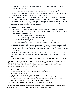- i) detailing the right that parents have to have their child immediately removed from such program upon their request;
- ii) detailing the options that parents have to decline to enroll their child in such program or to (a) choose another program or method of instruction, if available; and
- iii) assisting parents in selecting among various programs and methods of instruction, if more than 1 program or method is offered by the eligible entity.
- i) SPECIAL RULE APPLICABLE DURING THE SCHOOL YEAR.—For those children who have not been identified as English learners prior to the beginning of the school year but are identified as English learners during such school year, the local educational agency shall notify the children's parents during the first 2 weeks of the child being placed in a language instruction educational program consistent with subparagraph (A).
- j) PARENTAL PARTICIPATION.
	- i) IN GENERAL.—Each local educational agency receiving funds under this part shall implement an effective means of outreach to parents of English learners to inform the parents regarding how the parents can—
		- (1) be involved in the education of their children; and
		- (2) be active participants in assisting their children to—
			- (a) attain English proficiency;
			- (b) achieve at high levels within a well-rounded education; and
			- (c) meet the challenging State academic standards expected of all students.
	- ii) REGULAR MEETINGS.—Implementing an effective means of outreach to parents shall include holding, and sending notice of opportunities for, regular meetings for the purpose of formulating and responding to recommendations from parents of students assisted under this part or title III.
- k) BASIS FOR ADMISSION OR EXCLUSION.— A student shall not be admitted to, or excluded from, any federally assisted education program on the basis of a surname or language-minority status.

# **PPRA NOTICE AND CONSENT/OPT-OUT FOR SPECIFIC ACTIVITIES ( 20 U.S.C. 1232h)**

The Protection of Pupil Rights Amendment (PPRA), 20 U.S.C. 1232h, requires schools to notify you and obtain consent or allows you to opt out your child from participating in certain school activities. These activities include a student survey, analysis, or evaluation that concerns one or more of the following eight areas ("protected information surveys")

- 1. Political affiliations or beliefs of the student or student's parent
- 2. Mental or psychological problems of the student or student's family
- 3. Sexual behavior or attitudes
- 4. Illegal, anti-social, self-incriminating, or demeaning behavior
- 5. Critical appraisals of others with whom respondents have close family relationships
- 6. Legally recognized privileged relationships, such as with lawyers, doctors, or ministers
- 7. Religious practices, affiliations, or beliefs of the student or parents
- 8. Income, other than as required by law to determine program eligibility

This requirement also applies to the collection, disclosure or use of student information for marketing purposes ("marketing surveys"), and certain physical exams and screenings.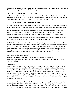# **(Please note that this notice and consent/opt-out transfers from parents to any student who is 18 or older or an emancipated minor under Wyoming Law.)**

## **SECLUSION AND RESTRAINT POLICY (JLJ)**

FCSD#1 has a policy on seclusion and restraint of students. This policy can be found on the school district website under the About Us tab under Governing Board. For questions about the policy, please contact your child's principal or the District's Special Services Director (332-4711).

## **SEX OFFENDERS ON SCHOOL PROPERTY (KIB)**

Pursuant to Wyoming Statute §6-2-320, registered sex offenders requesting permission to be on school property under conditions not already specified under this law, are required to have written permission.

In compliance with this law, registered sex offenders seeking written permission to be on school property, or to attend a school event located elsewhere, are required to submit the form to the appropriate principal no later than three school days in advance of the date he/she is requesting.

A reply to this written request will be given prior to the requested date. Only the Superintendent may grant permission for this request after consulting with the appropriate principal.

The District shall inform its staff and students/parents by notice published annually by the school district either by including such notice with annual notices published in the local newspaper or by other notice directly provided to staff and students or the parents of minor students that the staff member and/or student/parent can obtain information regarding sex offenders either employed by the school district or attending a school in the school district by contacting local law enforcement (police or sheriff's department) having jurisdiction over the school campus as required by W.S. §7-19-303(h).

### **SEXUAL HARASSMENT (GCQD)**

Discrimination, Sexual Harassment and Intimidation for Students and Employees (This is a condensed version of the policy. A complete copy is available in the school office or on the District's website.)

### **Basic Policy:**

Fremont County School District #1 is committed to a positive and productive working and learning environment free of discrimination and sexual harassment. Discrimination and sexual harassment adversely affect morale and interfere with employee and student ability to work and learn. The District prohibits sexual harassment, discrimination or intimidation of its employees and students, whether committed by a co-worker, supervisor, subordinate, contractor, volunteer, or student; and finds such behavior just cause for disciplinary action. Whereas, sexual harassment substantially compromises the attainment of educational excellence and the District will not tolerate such behavior between members of the same or opposite gender.

Furthermore, the District prohibits retaliation against any employee or student because he or she has made a report of alleged sexual harassment or discrimination or against any employee or student who testified, assisted, or participated in the investigation of a report. Retaliation includes, but is not limited to, any form of intimidation, reprisal, or adverse pressure. Retaliation is itself a violation of federal and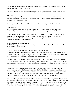state regulations prohibiting discrimination or sexual harassment and will lead to disciplinary action against the offender as hereinafter set forth.

This policy also applies to individuals attending any school-sponsored events, regardless of location.

# **Reporting:**

Students or employees who believe they may have been harassed or intimidated should contact a counselor, the Title IX Coordinator, a school nurse or the building principal unless such person is involved in the alleged harassment.

Once a report has been filed, a confidential and expeditious investigation shall be initiated.

# **Confidentiality:**

A report of sexual harassment or intimidation, and the investigation, is to be kept in strictest confidentiality to the greatest extent possible for the protection of all parties involved.

All parties' right to privacy will be protected to the extent possible. The District has a compelling interest to provide educational programs in an environment free from sexual harassment and discrimination. Therefore, the District's obligation to investigate and take corrective action may supersede an individual's right to privacy.

# **Investigation and Action Procedure:**

The District has a procedure in place to investigate and act on all complaints. Each incident will be investigated in a timely fashion.

# **STUDENT TRANSPORTATION FOR ACTIVITY TRIPS (JFCD)**

In all extra-curricular activity programs, students will be required to ride to and from the activity in school-provided vehicles unless parents/guardians have obtained approval per the requirements in this policy to transport their children to or from a school-sanctioned activity.

If a student who has an unusual circumstance that prohibits him/her from being transported by school transportation with the rest of the group or team to an activity, the parent must complete the appropriate form and submit it to the Activity Director, principal, or designee prior to the group or team's departure to obtain approval to transport the student to the activity.

If a parent/guardian wishes to transport his/her child home after an activity, it is desired that the parent/guardian complete the form and submit it to the Activity Director, principal, or designee prior to departure on the activity trip. However, in the event a parent/guardian determines during or after the activity that s/he would like to transport the child home, then the proper form must be completed and submitted to the coach or sponsor prior to the team/group's departure to return to Lander.

In the event that a parent/guardian needs to have another responsible adult transport a student, then the parent/guardian must meet with the Activity Director or principal, explain the reason for the request, and complete the request-form in the presence of the Activity Director or principal. If this protocol is not followed, the student will not be allowed to be transported by an adult who is not a parent or guardian. (In the event of an injury, this requirement may be waived by the Activity Director or principal.)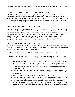The decision to grant or deny the request rests with the Activity Director, principal, or his/her designee.

# **TRANSFER OF SCHOOL DISCIPLINARY RECORDS (20 USC 7917)**

Title VIII of the Every Student Succeeds Act (ESSA) seeks to provide our nation's schools with a safe and drug-free environment so that teaching and learning are not disrupted and each student has the opportunity to succeed in school. Section 8537 of the Act requires each state to submit an assurance that it has procedures to transfer a student's disciplinary records, with respect to a suspension or expulsion, when the student enrolls in another public or private school.

# **UNSAFE SCHOOL CHOICE OPTION (20 USC 7912)**

According to section 8532 of the Every Student Succeeds Act (ESSA), each state receiving funds under this act shall establish and implement a statewide policy requiring that a student attending a persistently dangerous public elementary school or secondary school, as determined by the state in consultation with a representative sample of local educational agencies, or who becomes a victim of a violent criminal offense, as determined by state law, while in or on the grounds of a public elementary school or secondary school that the student attends, be allowed to attend a safe public elementary school or secondary school within the local educational agency, including a public charter school..

# **VOLUNTEERS – BACKGROUND CHECKS (IICD)**

Individuals who volunteer to share their time, talents, knowledge, and efforts with students provide a valuable service to the District. However, it is the District's responsibility to ensure that student safety is the primary consideration as volunteers are approved.

All volunteers will be asked to complete the District's **"**Volunteer Information Form."

All individuals who volunteer to assist with school activities under the following circumstances must undergo screening through a nationwide database selected and used by the District:

- 1. Individuals who volunteer on a "regular" basis so that it is anticipated that they will volunteer for 36 or more hours during the school year (i.e., one hour per week or more); if these individuals will likely never be alone with students without a school district employee being present, principals may choose not to have a volunteer in this category have the criminal background check; or
- 2. Any individual whose volunteer work will allow the volunteer to be alone with a student or group of students for more than a few minutes without being in visual contact of a school employee; or
- 3. Any individual who will accompany students on an overnight trip; or
- 4. Any individual who volunteers as a coach for more than five days during a season or is likely to assist an activity sponsor for more than five days during a school year; or
- 5. Any individual who will accompany students on an activity, sports event, or field trip off school premises and will be alone with a student or small group of students without a school district employee being within visual contact of the volunteer for more than a few moments.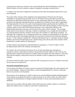A principal may require any volunteer to be screened through the nationwide database used by the District whether or not the volunteer is subject to mandatory screening as outlined above.

A volunteer will only need to undergo the screening one time unless the principal requests that it occur more frequently.

The results of the screening will be submitted to the Superintendent of Schools and will remain confidential to the greatest extent possible; however, the District reserves the right to provide such information to other School District personnel or to law enforcement officials as is deemed necessary, consistent with legitimate educational interests, including but not limited to school safety requirements. The Superintendent will review the results of the background checks and determine the suitability of a volunteer. If necessary, the Superintendent will discuss the results with the principal in whose school the volunteer wishes to work, other School District personnel, or law enforcement officials as the Superintendent determines necessary, and may discuss the results with the volunteer. The screening results must be received prior to allowing a volunteer to participate in an overnight trip with students or on a field trip during which the volunteer will be alone with a student or a small group of students. An individual who is required to have a background check may volunteer on school premises for up to three days before the results of the background check are received by the District if the following conditions are met: (1) The volunteer completes the "Volunteer Information Form" to self-report any prior criminal problems, and (2) the principal approves the volunteer being in the school, and (3) the volunteer will be monitored by a teacher, sponsor, or administrator.

To help volunteers and chaperones understand District expectations, a "Code of Conduct" will be developed and provided to all volunteers and chaperones.

For students who will be placed in businesses for work-study, job-shadowing, internship, etc. experiences without a school district employee being present while the student is at the work site, the agreement that is signed by the business or company where the student will work will have a clause that states that the employer verifies that no known sex offender or felon is employed by the business or company.

The District retains the right to reject or refuse the offer of any person to serve as a volunteer at any time for any reason or no reason at all.

### **WEAPONS POSSESSION (GCU)**

It is the intent of the Board of Trustees to prevent weapons from being brought onto school property and into school buildings. Weapons include objects, when used inappropriately by someone, could cause harm to any person on school property.

Possession/use of any dangerous or deadly weapon in any school building (including buildings/property where students are assigned off-campus), on school grounds, in any school vehicle, any other vehicle assigned by the administration to transport students and staff, or at any school-sanctioned activity, is prohibited.

Those who access and/or utilize the public schools shall not possess, handle, transmit, or conceal any object that could be used as a weapon or cause harm to another person.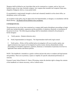Weapons shall be defined as any item/object that can be construed as a weapon, such as, but is not limited to guns of any type, facsimile weapons (toy weapons that resemble real weapons) Ninja stars, slingshots, bludgeons, knives, or any pocket knife.

If a pocketknife is inadvertently brought to school and voluntarily handed in at the school office, no disciplinary action will be taken.

An exception to this policy may be approved by the Superintendent, or designee, in consultation with the Board attorney. The Board will be notified of any exceptions.

# **CONSEQUENCES:**

The possession or use of any item construed as a weapon shall require disciplinary proceedings to begin which may include discipline, suspension and the possibility of expulsion, dismissal, or termination of the person involved. The following proceedings shall be immediately initiated by the principal or his/her designee:

- A. Notify parents. (Student infraction only.)
- B. Notify Superintendent (or designee). The Superintendent shall notify legal counsel.

C. Notify police. (Police will be notified and an investigation will occur at police option, any aggrieved person may request an Investigation by police/county attorney.)Immediately initiate proceedings for discipline suspension, expulsion, dismissal, or termination of person(s) involved via applicable State statutes and district policies.

NOTE: This handbook is intended as a guide to inform and provide notice to students and legal parents and guardians. There are no promises, express or implied, for specific educational performance or outcome.

Fremont County School District #1, State of Wyoming, retains the absolute right to change the contents of this handbook as it deems necessary, with or without notice.